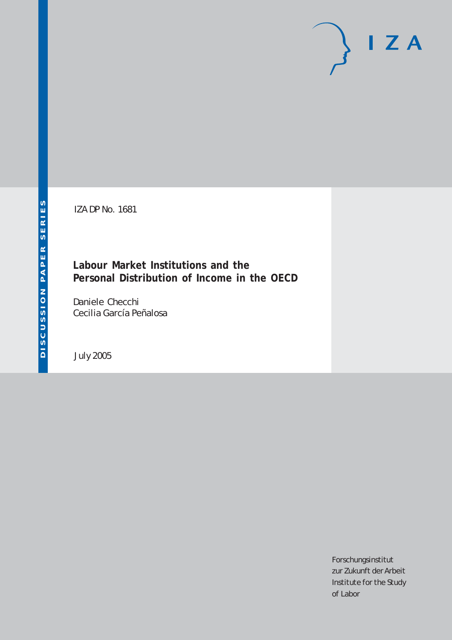IZA DP No. 1681

## **Labour Market Institutions and the Personal Distribution of Income in the OECD**

Daniele Checchi Cecilia García Peñalosa

July 2005

Forschungsinstitut zur Zukunft der Arbeit Institute for the Study of Labor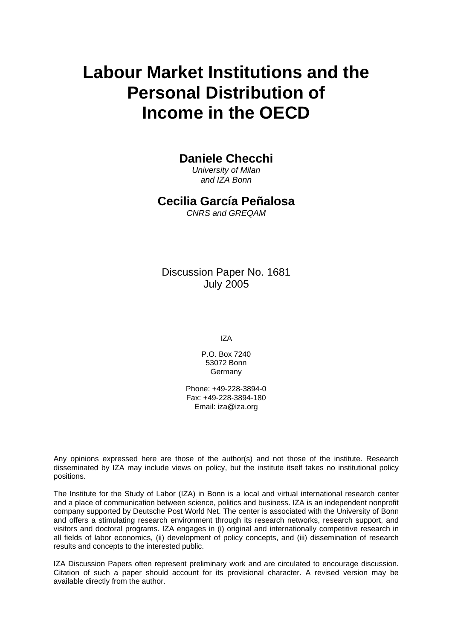# **Labour Market Institutions and the Personal Distribution of Income in the OECD**

### **Daniele Checchi**

*University of Milan and IZA Bonn* 

### **Cecilia García Peñalosa**

*CNRS and GREQAM* 

Discussion Paper No. 1681 July 2005

IZA

P.O. Box 7240 53072 Bonn Germany

Phone: +49-228-3894-0 Fax: +49-228-3894-180 Email: [iza@iza.org](mailto:iza@iza.org)

Any opinions expressed here are those of the author(s) and not those of the institute. Research disseminated by IZA may include views on policy, but the institute itself takes no institutional policy positions.

The Institute for the Study of Labor (IZA) in Bonn is a local and virtual international research center and a place of communication between science, politics and business. IZA is an independent nonprofit company supported by Deutsche Post World Net. The center is associated with the University of Bonn and offers a stimulating research environment through its research networks, research support, and visitors and doctoral programs. IZA engages in (i) original and internationally competitive research in all fields of labor economics, (ii) development of policy concepts, and (iii) dissemination of research results and concepts to the interested public.

IZA Discussion Papers often represent preliminary work and are circulated to encourage discussion. Citation of such a paper should account for its provisional character. A revised version may be available directly from the author.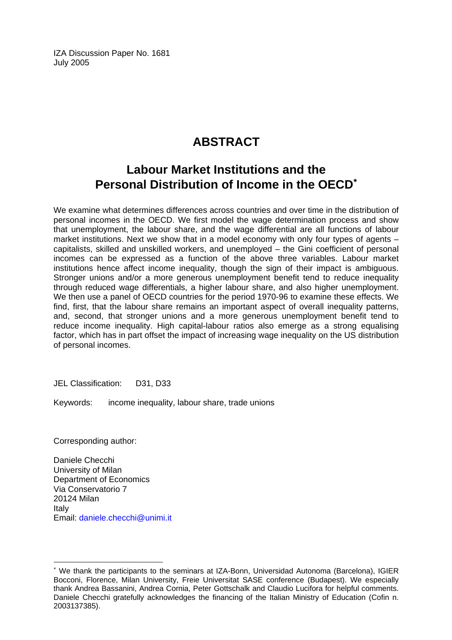IZA Discussion Paper No. 1681 July 2005

# **ABSTRACT**

# **Labour Market Institutions and the Personal Distribution of Income in the OECD**[∗](#page-2-0)

We examine what determines differences across countries and over time in the distribution of personal incomes in the OECD. We first model the wage determination process and show that unemployment, the labour share, and the wage differential are all functions of labour market institutions. Next we show that in a model economy with only four types of agents – capitalists, skilled and unskilled workers, and unemployed – the Gini coefficient of personal incomes can be expressed as a function of the above three variables. Labour market institutions hence affect income inequality, though the sign of their impact is ambiguous. Stronger unions and/or a more generous unemployment benefit tend to reduce inequality through reduced wage differentials, a higher labour share, and also higher unemployment. We then use a panel of OECD countries for the period 1970-96 to examine these effects. We find, first, that the labour share remains an important aspect of overall inequality patterns, and, second, that stronger unions and a more generous unemployment benefit tend to reduce income inequality. High capital-labour ratios also emerge as a strong equalising factor, which has in part offset the impact of increasing wage inequality on the US distribution of personal incomes.

JEL Classification: D31, D33

Keywords: income inequality, labour share, trade unions

Corresponding author:

 $\overline{a}$ 

Daniele Checchi University of Milan Department of Economics Via Conservatorio 7 20124 Milan Italy Email: [daniele.checchi@unimi.it](mailto:daniele.checchi@unimi.it)

<span id="page-2-0"></span><sup>∗</sup> We thank the participants to the seminars at IZA-Bonn, Universidad Autonoma (Barcelona), IGIER Bocconi, Florence, Milan University, Freie Universitat SASE conference (Budapest). We especially thank Andrea Bassanini, Andrea Cornia, Peter Gottschalk and Claudio Lucifora for helpful comments. Daniele Checchi gratefully acknowledges the financing of the Italian Ministry of Education (Cofin n. 2003137385).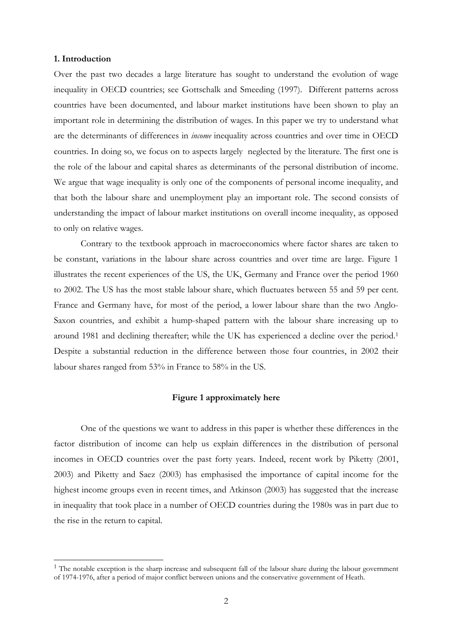#### **1. Introduction**

 $\overline{\phantom{a}}$ 

Over the past two decades a large literature has sought to understand the evolution of wage inequality in OECD countries; see Gottschalk and Smeeding (1997). Different patterns across countries have been documented, and labour market institutions have been shown to play an important role in determining the distribution of wages. In this paper we try to understand what are the determinants of differences in *income* inequality across countries and over time in OECD countries. In doing so, we focus on to aspects largely neglected by the literature. The first one is the role of the labour and capital shares as determinants of the personal distribution of income. We argue that wage inequality is only one of the components of personal income inequality, and that both the labour share and unemployment play an important role. The second consists of understanding the impact of labour market institutions on overall income inequality, as opposed to only on relative wages.

 Contrary to the textbook approach in macroeconomics where factor shares are taken to be constant, variations in the labour share across countries and over time are large. Figure 1 illustrates the recent experiences of the US, the UK, Germany and France over the period 1960 to 2002. The US has the most stable labour share, which fluctuates between 55 and 59 per cent. France and Germany have, for most of the period, a lower labour share than the two Anglo-Saxon countries, and exhibit a hump-shaped pattern with the labour share increasing up to around 1981 and declining thereafter; while the UK has experienced a decline over the period.1 Despite a substantial reduction in the difference between those four countries, in 2002 their labour shares ranged from 53% in France to 58% in the US.

#### **Figure 1 approximately here**

 One of the questions we want to address in this paper is whether these differences in the factor distribution of income can help us explain differences in the distribution of personal incomes in OECD countries over the past forty years. Indeed, recent work by Piketty (2001, 2003) and Piketty and Saez (2003) has emphasised the importance of capital income for the highest income groups even in recent times, and Atkinson (2003) has suggested that the increase in inequality that took place in a number of OECD countries during the 1980s was in part due to the rise in the return to capital.

<sup>&</sup>lt;sup>1</sup> The notable exception is the sharp increase and subsequent fall of the labour share during the labour government of 1974-1976, after a period of major conflict between unions and the conservative government of Heath.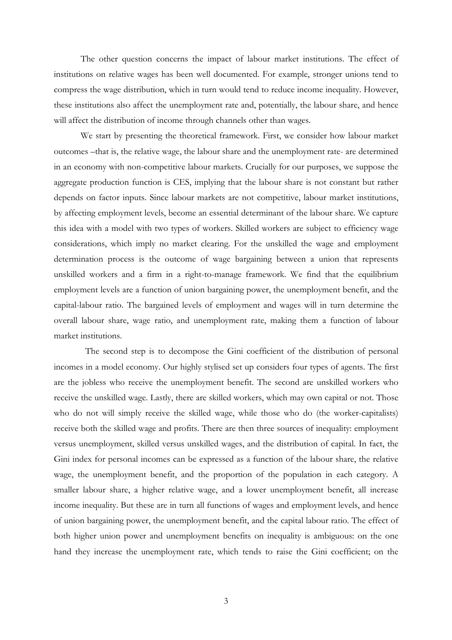The other question concerns the impact of labour market institutions. The effect of institutions on relative wages has been well documented. For example, stronger unions tend to compress the wage distribution, which in turn would tend to reduce income inequality. However, these institutions also affect the unemployment rate and, potentially, the labour share, and hence will affect the distribution of income through channels other than wages.

 We start by presenting the theoretical framework. First, we consider how labour market outcomes –that is, the relative wage, the labour share and the unemployment rate- are determined in an economy with non-competitive labour markets. Crucially for our purposes, we suppose the aggregate production function is CES, implying that the labour share is not constant but rather depends on factor inputs. Since labour markets are not competitive, labour market institutions, by affecting employment levels, become an essential determinant of the labour share. We capture this idea with a model with two types of workers. Skilled workers are subject to efficiency wage considerations, which imply no market clearing. For the unskilled the wage and employment determination process is the outcome of wage bargaining between a union that represents unskilled workers and a firm in a right-to-manage framework. We find that the equilibrium employment levels are a function of union bargaining power, the unemployment benefit, and the capital-labour ratio. The bargained levels of employment and wages will in turn determine the overall labour share, wage ratio, and unemployment rate, making them a function of labour market institutions.

 The second step is to decompose the Gini coefficient of the distribution of personal incomes in a model economy. Our highly stylised set up considers four types of agents. The first are the jobless who receive the unemployment benefit. The second are unskilled workers who receive the unskilled wage. Lastly, there are skilled workers, which may own capital or not. Those who do not will simply receive the skilled wage, while those who do (the worker-capitalists) receive both the skilled wage and profits. There are then three sources of inequality: employment versus unemployment, skilled versus unskilled wages, and the distribution of capital. In fact, the Gini index for personal incomes can be expressed as a function of the labour share, the relative wage, the unemployment benefit, and the proportion of the population in each category. A smaller labour share, a higher relative wage, and a lower unemployment benefit, all increase income inequality. But these are in turn all functions of wages and employment levels, and hence of union bargaining power, the unemployment benefit, and the capital labour ratio. The effect of both higher union power and unemployment benefits on inequality is ambiguous: on the one hand they increase the unemployment rate, which tends to raise the Gini coefficient; on the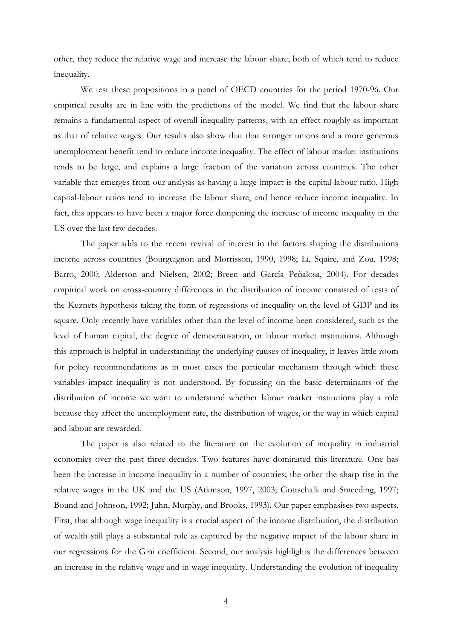other, they reduce the relative wage and increase the labour share, both of which tend to reduce inequality.

We test these propositions in a panel of OECD countries for the period 1970-96. Our empirical results are in line with the predictions of the model. We find that the labour share remains a fundamental aspect of overall inequality patterns, with an effect roughly as important as that of relative wages. Our results also show that that stronger unions and a more generous unemployment benefit tend to reduce income inequality. The effect of labour market institutions tends to be large, and explains a large fraction of the variation across countries. The other variable that emerges from our analysis as having a large impact is the capital-labour ratio. High capital-labour ratios tend to increase the labour share, and hence reduce income inequality. In fact, this appears to have been a major force dampening the increase of income inequality in the US over the last few decades.

The paper adds to the recent revival of interest in the factors shaping the distributions income across countries (Bourguignon and Morrisson, 1990, 1998; Li, Squire, and Zou, 1998; Barro, 2000; Alderson and Nielsen, 2002; Breen and García Peñalosa, 2004). For decades empirical work on cross-country differences in the distribution of income consisted of tests of the Kuznets hypothesis taking the form of regressions of inequality on the level of GDP and its square. Only recently have variables other than the level of income been considered, such as the level of human capital, the degree of democratisation, or labour market institutions. Although this approach is helpful in understanding the underlying causes of inequality, it leaves little room for policy recommendations as in most cases the particular mechanism through which these variables impact inequality is not understood. By focussing on the basic determinants of the distribution of income we want to understand whether labour market institutions play a role because they affect the unemployment rate, the distribution of wages, or the way in which capital and labour are rewarded.

 The paper is also related to the literature on the evolution of inequality in industrial economies over the past three decades. Two features have dominated this literature. One has been the increase in income inequality in a number of countries; the other the sharp rise in the relative wages in the UK and the US (Atkinson, 1997, 2003; Gottschalk and Smeeding, 1997; Bound and Johnson, 1992; Juhn, Murphy, and Brooks, 1993). Our paper emphasises two aspects. First, that although wage inequality is a crucial aspect of the income distribution, the distribution of wealth still plays a substantial role as captured by the negative impact of the labour share in our regressions for the Gini coefficient. Second, our analysis highlights the differences between an increase in the relative wage and in wage inequality. Understanding the evolution of inequality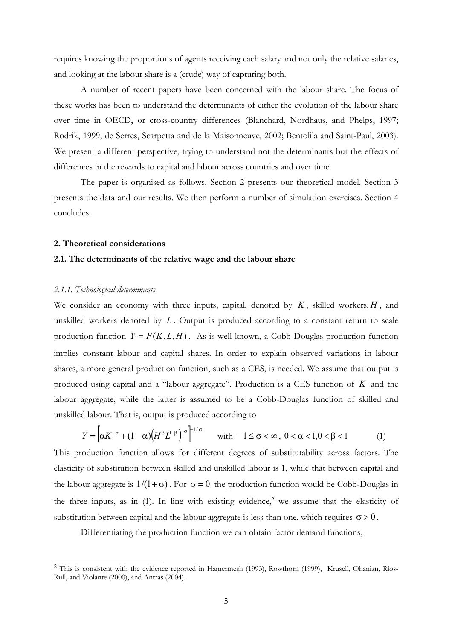requires knowing the proportions of agents receiving each salary and not only the relative salaries, and looking at the labour share is a (crude) way of capturing both.

 A number of recent papers have been concerned with the labour share. The focus of these works has been to understand the determinants of either the evolution of the labour share over time in OECD, or cross-country differences (Blanchard, Nordhaus, and Phelps, 1997; Rodrik, 1999; de Serres, Scarpetta and de la Maisonneuve, 2002; Bentolila and Saint-Paul, 2003). We present a different perspective, trying to understand not the determinants but the effects of differences in the rewards to capital and labour across countries and over time.

The paper is organised as follows. Section 2 presents our theoretical model. Section 3 presents the data and our results. We then perform a number of simulation exercises. Section 4 concludes.

#### **2. Theoretical considerations**

#### **2.1. The determinants of the relative wage and the labour share**

#### *2.1.1. Technological determinants*

 $\overline{\phantom{a}}$ 

We consider an economy with three inputs, capital, denoted by  $K$ , skilled workers,  $H$ , and unskilled workers denoted by *L* . Output is produced according to a constant return to scale production function  $Y = F(K, L, H)$ . As is well known, a Cobb-Douglas production function implies constant labour and capital shares. In order to explain observed variations in labour shares, a more general production function, such as a CES, is needed. We assume that output is produced using capital and a "labour aggregate". Production is a CES function of *K* and the labour aggregate, while the latter is assumed to be a Cobb-Douglas function of skilled and unskilled labour. That is, output is produced according to

$$
Y = \left[\alpha K^{-\sigma} + (1 - \alpha)\left(H^{\beta}L^{1-\beta}\right)^{-\sigma}\right]^{1/\sigma} \quad \text{with } -1 \le \sigma < \infty, \ 0 < \alpha < 1, 0 < \beta < 1 \tag{1}
$$

This production function allows for different degrees of substitutability across factors. The elasticity of substitution between skilled and unskilled labour is 1, while that between capital and the labour aggregate is  $1/(1+\sigma)$ . For  $\sigma = 0$  the production function would be Cobb-Douglas in the three inputs, as in  $(1)$ . In line with existing evidence,<sup>2</sup> we assume that the elasticity of substitution between capital and the labour aggregate is less than one, which requires  $\sigma > 0$ .

Differentiating the production function we can obtain factor demand functions,

<sup>2</sup> This is consistent with the evidence reported in Hamermesh (1993), Rowthorn (1999), Krusell, Ohanian, Rios-Rull, and Violante (2000), and Antras (2004).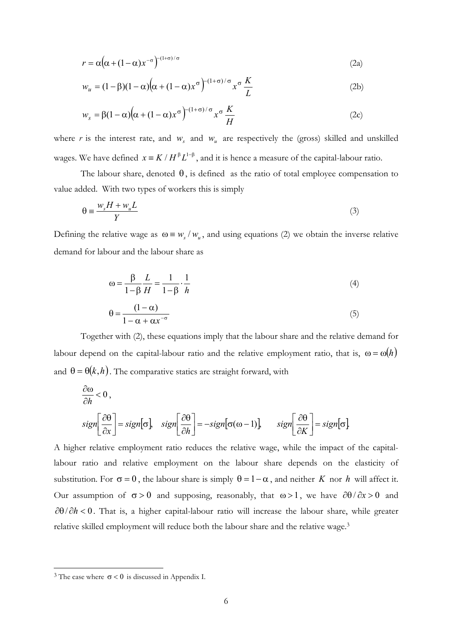$$
r = \alpha \left( \alpha + (1 - \alpha)x^{-\sigma} \right)^{-(1 + \sigma)/\sigma} \tag{2a}
$$

$$
w_u = (1 - \beta)(1 - \alpha)\left(\alpha + (1 - \alpha)x^{\sigma}\right)^{-(1 + \sigma)/\sigma} x^{\sigma} \frac{K}{L}
$$
 (2b)

$$
w_s = \beta (1 - \alpha) \left( \alpha + (1 - \alpha) x^{\sigma} \right)^{-(1 + \sigma)/\sigma} x^{\sigma} \frac{K}{H}
$$
 (2c)

where *r* is the interest rate, and  $w<sub>s</sub>$  and  $w<sub>u</sub>$  are respectively the (gross) skilled and unskilled wages. We have defined  $x = K / H^{\beta} L^{1-\beta}$ , and it is hence a measure of the capital-labour ratio.

The labour share, denoted  $\theta$ , is defined as the ratio of total employee compensation to value added. With two types of workers this is simply

$$
\theta \equiv \frac{w_s H + w_u L}{Y} \tag{3}
$$

Defining the relative wage as  $\omega = w_s / w_u$ , and using equations (2) we obtain the inverse relative demand for labour and the labour share as

$$
\omega = \frac{\beta}{1 - \beta} \frac{L}{H} = \frac{1}{1 - \beta} \cdot \frac{1}{h}
$$
 (4)

$$
\theta = \frac{(1 - \alpha)}{1 - \alpha + \alpha x^{-\sigma}}
$$
(5)

 Together with (2), these equations imply that the labour share and the relative demand for labour depend on the capital-labour ratio and the relative employment ratio, that is,  $\omega = \omega(h)$ and  $\theta = \theta(k, h)$ . The comparative statics are straight forward, with

$$
\frac{\partial \omega}{\partial h} < 0,
$$
\n
$$
sign\left[\frac{\partial \theta}{\partial x}\right] = sign[\sigma], \quad sign\left[\frac{\partial \theta}{\partial h}\right] = -sign[\sigma(\omega - 1)], \quad sign\left[\frac{\partial \theta}{\partial K}\right] = sign[\sigma].
$$

A higher relative employment ratio reduces the relative wage, while the impact of the capitallabour ratio and relative employment on the labour share depends on the elasticity of substitution. For  $\sigma = 0$ , the labour share is simply  $\theta = 1 - \alpha$ , and neither *K* nor *h* will affect it. Our assumption of  $\sigma > 0$  and supposing, reasonably, that  $\omega > 1$ , we have  $\frac{\partial \theta}{\partial x} > 0$  and ∂θ/ ∂*h* < 0 . That is, a higher capital-labour ratio will increase the labour share, while greater relative skilled employment will reduce both the labour share and the relative wage.3

 $\overline{\phantom{a}}$ 

<sup>&</sup>lt;sup>3</sup> The case where  $\sigma$  < 0 is discussed in Appendix I.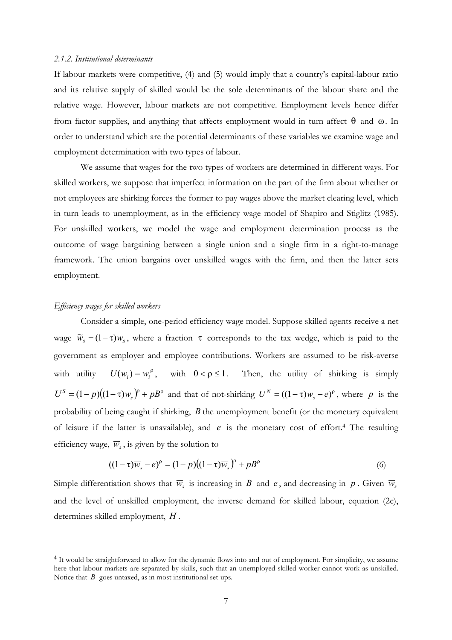#### *2.1.2. Institutional determinants*

If labour markets were competitive, (4) and (5) would imply that a country's capital-labour ratio and its relative supply of skilled would be the sole determinants of the labour share and the relative wage. However, labour markets are not competitive. Employment levels hence differ from factor supplies, and anything that affects employment would in turn affect θ and ω. In order to understand which are the potential determinants of these variables we examine wage and employment determination with two types of labour.

 We assume that wages for the two types of workers are determined in different ways. For skilled workers, we suppose that imperfect information on the part of the firm about whether or not employees are shirking forces the former to pay wages above the market clearing level, which in turn leads to unemployment, as in the efficiency wage model of Shapiro and Stiglitz (1985). For unskilled workers, we model the wage and employment determination process as the outcome of wage bargaining between a single union and a single firm in a right-to-manage framework. The union bargains over unskilled wages with the firm, and then the latter sets employment.

#### *Efficiency wages for skilled workers*

 $\overline{\phantom{a}}$ 

Consider a simple, one-period efficiency wage model. Suppose skilled agents receive a net wage  $\widetilde{w}_s = (1 - \tau) w_s$ , where a fraction  $\tau$  corresponds to the tax wedge, which is paid to the government as employer and employee contributions. Workers are assumed to be risk-averse with utility  $U(w_i) = w_i^{\rho}$ , with  $0 < \rho \le 1$ . Then, the utility of shirking is simply  $U^S = (1-p)(1-\tau)w_s^{\gamma} + pB^{\rho}$  and that of not-shirking  $U^N = ((1-\tau)w_s - e)^{\rho}$ , where *p* is the probability of being caught if shirking, *B* the unemployment benefit (or the monetary equivalent of leisure if the latter is unavailable), and *e* is the monetary cost of effort.4 The resulting efficiency wage,  $\overline{w}_s$ , is given by the solution to

$$
((1-\tau)\overline{w}_s - e)^{\rho} = (1-p)((1-\tau)\overline{w}_s)^{\rho} + pB^{\rho}
$$
\n(6)

Simple differentiation shows that  $\overline{w}_s$  is increasing in *B* and *e*, and decreasing in *p*. Given  $\overline{w}_s$ and the level of unskilled employment, the inverse demand for skilled labour, equation (2c), determines skilled employment, *H* .

<sup>4</sup> It would be straightforward to allow for the dynamic flows into and out of employment. For simplicity, we assume here that labour markets are separated by skills, such that an unemployed skilled worker cannot work as unskilled. Notice that *B* goes untaxed, as in most institutional set-ups.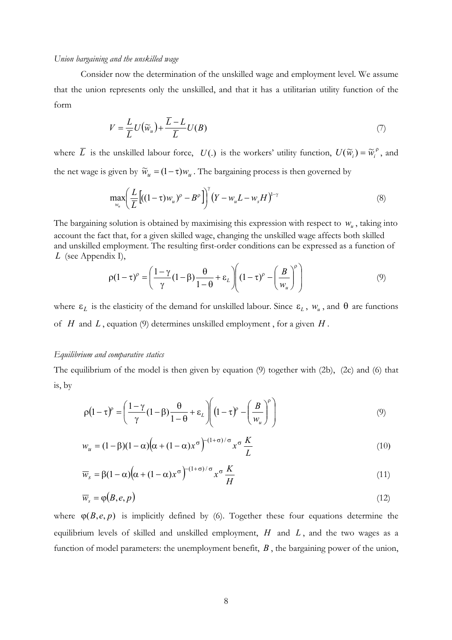#### *Union bargaining and the unskilled wage*

Consider now the determination of the unskilled wage and employment level. We assume that the union represents only the unskilled, and that it has a utilitarian utility function of the form

$$
V = \frac{L}{\overline{L}}U(\widetilde{w}_u) + \frac{\overline{L} - L}{\overline{L}}U(B)
$$
\n(7)

where  $\overline{L}$  is the unskilled labour force,  $U(.)$  is the workers' utility function,  $U(\widetilde{w}_i) = \widetilde{w}_i^{\rho}$ , and the net wage is given by  $\widetilde{w}_u = (1 - \tau) w_u$ . The bargaining process is then governed by

$$
\max_{w_u} \left( \frac{L}{\overline{L}} \left[ ((1-\tau)w_u)^p - B^p \right] \right)^{\gamma} \left( Y - w_u L - w_s H \right)^{1-\gamma}
$$
\n(8)

The bargaining solution is obtained by maximising this expression with respect to  $w_{\nu}$ , taking into account the fact that, for a given skilled wage, changing the unskilled wage affects both skilled and unskilled employment. The resulting first-order conditions can be expressed as a function of *L* (see Appendix I),

$$
\rho(1-\tau)^{\rho} = \left(\frac{1-\gamma}{\gamma}(1-\beta)\frac{\theta}{1-\theta} + \varepsilon_L\right) \left((1-\tau)^{\rho} - \left(\frac{B}{w_u}\right)^{\rho}\right) \tag{9}
$$

where  $\varepsilon_L$  is the elasticity of the demand for unskilled labour. Since  $\varepsilon_L$ ,  $w_u$ , and  $\theta$  are functions of *H* and *L* , equation (9) determines unskilled employment , for a given *H* .

#### *Equilibrium and comparative statics*

The equilibrium of the model is then given by equation (9) together with (2b), (2c) and (6) that is, by

$$
\rho \left(1 - \tau\right)^p = \left(\frac{1 - \gamma}{\gamma} \left(1 - \beta\right) \frac{\theta}{1 - \theta} + \varepsilon_L \right) \left(\left(1 - \tau\right)^p - \left(\frac{B}{w_u}\right)^p\right) \tag{9}
$$

$$
w_u = (1 - \beta)(1 - \alpha)\left(\alpha + (1 - \alpha)x^{\sigma}\right)^{-(1 + \sigma)/\sigma} x^{\sigma} \frac{K}{L}
$$
\n(10)

$$
\overline{w}_s = \beta (1 - \alpha) \left( \alpha + (1 - \alpha) x^{\sigma} \right)^{-(1 + \sigma)/\sigma} x^{\sigma} \frac{K}{H}
$$
\n(11)

$$
\overline{w}_s = \varphi(B, e, p) \tag{12}
$$

where  $\varphi(B, e, p)$  is implicitly defined by (6). Together these four equations determine the equilibrium levels of skilled and unskilled employment, *H* and *L* , and the two wages as a function of model parameters: the unemployment benefit, *B* , the bargaining power of the union,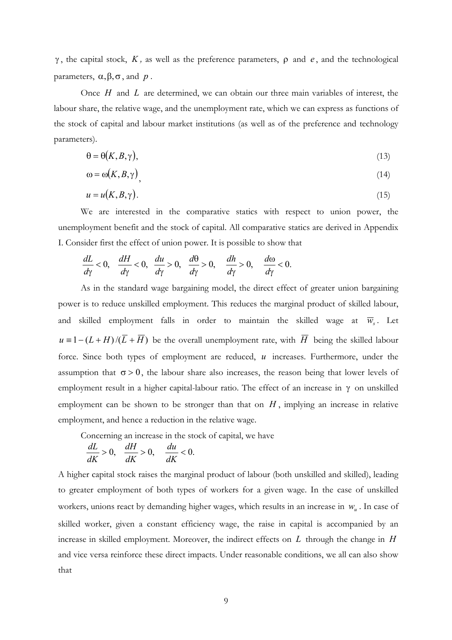γ, the capital stock,  $K$ , as well as the preference parameters,  $ρ$  and  $e$ , and the technological parameters, α,β,σ, and *p* .

Once *H* and *L* are determined, we can obtain our three main variables of interest, the labour share, the relative wage, and the unemployment rate, which we can express as functions of the stock of capital and labour market institutions (as well as of the preference and technology parameters).

$$
\Theta = \Theta(K, B, \gamma),\tag{13}
$$

$$
\omega = \omega(K, B, \gamma) \tag{14}
$$

$$
u = u(K, B, \gamma). \tag{15}
$$

 We are interested in the comparative statics with respect to union power, the unemployment benefit and the stock of capital. All comparative statics are derived in Appendix I. Consider first the effect of union power. It is possible to show that

$$
\frac{dL}{d\gamma}<0,\quad\frac{dH}{d\gamma}<0,\quad\frac{du}{d\gamma}>0,\quad\frac{d\theta}{d\gamma}>0,\quad\frac{dh}{d\gamma}>0,\quad\frac{d\omega}{d\gamma}<0.
$$

As in the standard wage bargaining model, the direct effect of greater union bargaining power is to reduce unskilled employment. This reduces the marginal product of skilled labour, and skilled employment falls in order to maintain the skilled wage at  $\overline{w}_s$ . Let  $u = 1 - (L + H)/(\overline{L} + \overline{H})$  be the overall unemployment rate, with  $\overline{H}$  being the skilled labour force. Since both types of employment are reduced, *u* increases. Furthermore, under the assumption that  $\sigma > 0$ , the labour share also increases, the reason being that lower levels of employment result in a higher capital-labour ratio. The effect of an increase in γ on unskilled employment can be shown to be stronger than that on  $H$ , implying an increase in relative employment, and hence a reduction in the relative wage.

Concerning an increase in the stock of capital, we have

$$
\frac{dL}{dK} > 0, \quad \frac{dH}{dK} > 0, \quad \frac{du}{dK} < 0.
$$

A higher capital stock raises the marginal product of labour (both unskilled and skilled), leading to greater employment of both types of workers for a given wage. In the case of unskilled workers, unions react by demanding higher wages, which results in an increase in  $w<sub>u</sub>$ . In case of skilled worker, given a constant efficiency wage, the raise in capital is accompanied by an increase in skilled employment. Moreover, the indirect effects on *L* through the change in *H* and vice versa reinforce these direct impacts. Under reasonable conditions, we all can also show that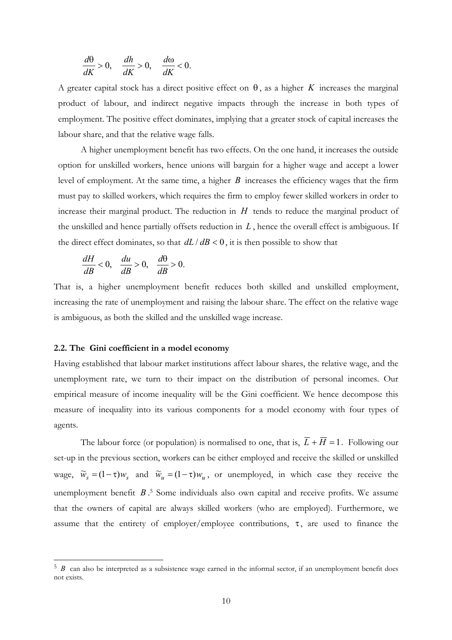$$
\frac{d\theta}{dK} > 0, \quad \frac{dh}{dK} > 0, \quad \frac{d\omega}{dK} < 0.
$$

A greater capital stock has a direct positive effect on  $\theta$ , as a higher *K* increases the marginal product of labour, and indirect negative impacts through the increase in both types of employment. The positive effect dominates, implying that a greater stock of capital increases the labour share, and that the relative wage falls.

 A higher unemployment benefit has two effects. On the one hand, it increases the outside option for unskilled workers, hence unions will bargain for a higher wage and accept a lower level of employment. At the same time, a higher *B* increases the efficiency wages that the firm must pay to skilled workers, which requires the firm to employ fewer skilled workers in order to increase their marginal product. The reduction in *H* tends to reduce the marginal product of the unskilled and hence partially offsets reduction in  $L$ , hence the overall effect is ambiguous. If the direct effect dominates, so that  $dL/dB < 0$ , it is then possible to show that

$$
\frac{dH}{dB} < 0, \quad \frac{du}{dB} > 0, \quad \frac{d\theta}{dB} > 0.
$$

That is, a higher unemployment benefit reduces both skilled and unskilled employment, increasing the rate of unemployment and raising the labour share. The effect on the relative wage is ambiguous, as both the skilled and the unskilled wage increase.

#### **2.2. The Gini coefficient in a model economy**

 $\overline{\phantom{a}}$ 

Having established that labour market institutions affect labour shares, the relative wage, and the unemployment rate, we turn to their impact on the distribution of personal incomes. Our empirical measure of income inequality will be the Gini coefficient. We hence decompose this measure of inequality into its various components for a model economy with four types of agents.

The labour force (or population) is normalised to one, that is,  $\overline{L} + \overline{H} = 1$ . Following our set-up in the previous section, workers can be either employed and receive the skilled or unskilled wage,  $\widetilde{w}_s = (1 - \tau) w_s$  and  $\widetilde{w}_u = (1 - \tau) w_u$ , or unemployed, in which case they receive the unemployment benefit *B* . 5 Some individuals also own capital and receive profits. We assume that the owners of capital are always skilled workers (who are employed). Furthermore, we assume that the entirety of employer/employee contributions,  $\tau$ , are used to finance the

<sup>5</sup> *B* can also be interpreted as a subsistence wage earned in the informal sector, if an unemployment benefit does not exists.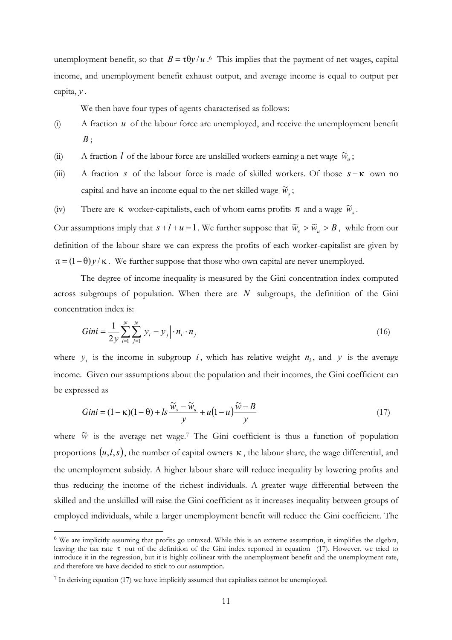unemployment benefit, so that  $B = \tau \theta y / u$ .<sup>6</sup> This implies that the payment of net wages, capital income, and unemployment benefit exhaust output, and average income is equal to output per capita, *y .*

We then have four types of agents characterised as follows:

- (i) A fraction *u* of the labour force are unemployed, and receive the unemployment benefit *B* ;
- (ii) A fraction *l* of the labour force are unskilled workers earning a net wage  $\widetilde{w}_u$ ;
- (iii) A fraction *s* of the labour force is made of skilled workers. Of those *s* − κ own no capital and have an income equal to the net skilled wage  $\widetilde{w}_s$ ;
- (iv) There are  $\kappa$  worker-capitalists, each of whom earns profits  $\pi$  and a wage  $\widetilde{w}_s$ .

Our assumptions imply that  $s + l + u = 1$ . We further suppose that  $\widetilde{w}_s > \widetilde{w}_u > B$ , while from our definition of the labour share we can express the profits of each worker-capitalist are given by  $\pi = (1 - \theta)y / \kappa$ . We further suppose that those who own capital are never unemployed.

The degree of income inequality is measured by the Gini concentration index computed across subgroups of population. When there are *N* subgroups, the definition of the Gini concentration index is:

$$
Gini = \frac{1}{2y} \sum_{i=1}^{N} \sum_{j=1}^{N} |y_i - y_j| \cdot n_i \cdot n_j
$$
 (16)

where  $y_i$  is the income in subgroup *i*, which has relative weight  $n_i$ , and *y* is the average income. Given our assumptions about the population and their incomes, the Gini coefficient can be expressed as

$$
Gini = (1 - \kappa)(1 - \theta) + ls \frac{\widetilde{w}_s - \widetilde{w}_u}{y} + u(1 - u) \frac{\widetilde{w} - B}{y}
$$
\n
$$
\tag{17}
$$

where  $\tilde{w}$  is the average net wage.<sup>7</sup> The Gini coefficient is thus a function of population proportions  $(u, l, s)$ , the number of capital owners  $\kappa$ , the labour share, the wage differential, and the unemployment subsidy. A higher labour share will reduce inequality by lowering profits and thus reducing the income of the richest individuals. A greater wage differential between the skilled and the unskilled will raise the Gini coefficient as it increases inequality between groups of employed individuals, while a larger unemployment benefit will reduce the Gini coefficient. The

 $\overline{\phantom{a}}$ 

<sup>&</sup>lt;sup>6</sup> We are implicitly assuming that profits go untaxed. While this is an extreme assumption, it simplifies the algebra, leaving the tax rate τ out of the definition of the Gini index reported in equation (17). However, we tried to introduce it in the regression, but it is highly collinear with the unemployment benefit and the unemployment rate, and therefore we have decided to stick to our assumption.

<sup>7</sup> In deriving equation (17) we have implicitly assumed that capitalists cannot be unemployed.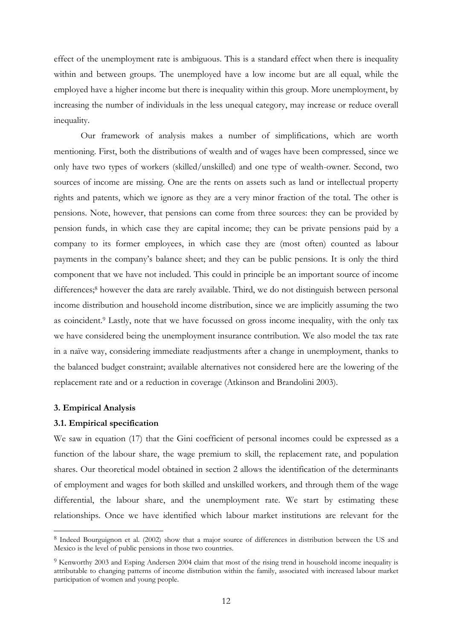effect of the unemployment rate is ambiguous. This is a standard effect when there is inequality within and between groups. The unemployed have a low income but are all equal, while the employed have a higher income but there is inequality within this group. More unemployment, by increasing the number of individuals in the less unequal category, may increase or reduce overall inequality.

 Our framework of analysis makes a number of simplifications, which are worth mentioning. First, both the distributions of wealth and of wages have been compressed, since we only have two types of workers (skilled/unskilled) and one type of wealth-owner. Second, two sources of income are missing. One are the rents on assets such as land or intellectual property rights and patents, which we ignore as they are a very minor fraction of the total. The other is pensions. Note, however, that pensions can come from three sources: they can be provided by pension funds, in which case they are capital income; they can be private pensions paid by a company to its former employees, in which case they are (most often) counted as labour payments in the company's balance sheet; and they can be public pensions. It is only the third component that we have not included. This could in principle be an important source of income differences;<sup>8</sup> however the data are rarely available. Third, we do not distinguish between personal income distribution and household income distribution, since we are implicitly assuming the two as coincident.9 Lastly, note that we have focussed on gross income inequality, with the only tax we have considered being the unemployment insurance contribution. We also model the tax rate in a naïve way, considering immediate readjustments after a change in unemployment, thanks to the balanced budget constraint; available alternatives not considered here are the lowering of the replacement rate and or a reduction in coverage (Atkinson and Brandolini 2003).

#### **3. Empirical Analysis**

 $\overline{\phantom{a}}$ 

#### **3.1. Empirical specification**

We saw in equation (17) that the Gini coefficient of personal incomes could be expressed as a function of the labour share, the wage premium to skill, the replacement rate, and population shares. Our theoretical model obtained in section 2 allows the identification of the determinants of employment and wages for both skilled and unskilled workers, and through them of the wage differential, the labour share, and the unemployment rate. We start by estimating these relationships. Once we have identified which labour market institutions are relevant for the

<sup>8</sup> Indeed Bourguignon et al. (2002) show that a major source of differences in distribution between the US and Mexico is the level of public pensions in those two countries.

<sup>9</sup> Kenworthy 2003 and Esping Andersen 2004 claim that most of the rising trend in household income inequality is attributable to changing patterns of income distribution within the family, associated with increased labour market participation of women and young people.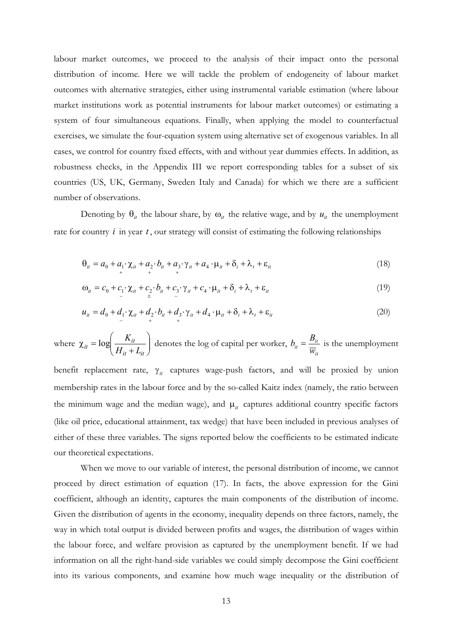labour market outcomes, we proceed to the analysis of their impact onto the personal distribution of income. Here we will tackle the problem of endogeneity of labour market outcomes with alternative strategies, either using instrumental variable estimation (where labour market institutions work as potential instruments for labour market outcomes) or estimating a system of four simultaneous equations. Finally, when applying the model to counterfactual exercises, we simulate the four-equation system using alternative set of exogenous variables. In all cases, we control for country fixed effects, with and without year dummies effects. In addition, as robustness checks, in the Appendix III we report corresponding tables for a subset of six countries (US, UK, Germany, Sweden Italy and Canada) for which we there are a sufficient number of observations.

Denoting by  $\theta_{it}$  the labour share, by  $\omega_{it}$  the relative wage, and by  $u_{it}$  the unemployment rate for country *i* in year *t* , our strategy will consist of estimating the following relationships

$$
\Theta_{it} = a_0 + a_1 \cdot \chi_{it} + a_2 \cdot b_{it} + a_3 \cdot \gamma_{it} + a_4 \cdot \mu_{it} + \delta_i + \lambda_t + \varepsilon_{it}
$$
\n(18)

$$
\omega_{it} = c_0 + c_1 \cdot \chi_{it} + c_2 \cdot b_{it} + c_3 \cdot \gamma_{it} + c_4 \cdot \mu_{it} + \delta_i + \lambda_t + \varepsilon_{it}
$$
\n(19)

$$
u_{it} = d_0 + d_1 \cdot \chi_{it} + d_2 \cdot b_{it} + d_3 \cdot \gamma_{it} + d_4 \cdot \mu_{it} + \delta_i + \lambda_t + \varepsilon_{it}
$$
\n
$$
\tag{20}
$$

where  $\chi_{it} = \log \left| \frac{K_{it}}{H + I} \right|$ J  $\backslash$  $\overline{\phantom{a}}$  $\setminus$ ſ +  $\chi_{it} =$  $i$ <sub>*it*</sub>  $+$   $L$ <sub>*it*</sub>  $\log \left( \frac{R_{it}}{H_{it} + L} \right)$  $\log \left( \frac{K_{it}}{K_{it}} \right)$  denotes the log of capital per worker, *it*  $v_{it} = \frac{B_{it}}{\overline{W}_{it}}$  $b_{it} = \frac{B_{it}}{I}$  is the unemployment

benefit replacement rate, γ<sub>*it*</sub> captures wage-push factors, and will be proxied by union membership rates in the labour force and by the so-called Kaitz index (namely, the ratio between the minimum wage and the median wage), and  $\mu_{it}$  captures additional country specific factors (like oil price, educational attainment, tax wedge) that have been included in previous analyses of either of these three variables. The signs reported below the coefficients to be estimated indicate our theoretical expectations.

 When we move to our variable of interest, the personal distribution of income, we cannot proceed by direct estimation of equation (17). In facts, the above expression for the Gini coefficient, although an identity, captures the main components of the distribution of income. Given the distribution of agents in the economy, inequality depends on three factors, namely, the way in which total output is divided between profits and wages, the distribution of wages within the labour force, and welfare provision as captured by the unemployment benefit. If we had information on all the right-hand-side variables we could simply decompose the Gini coefficient into its various components, and examine how much wage inequality or the distribution of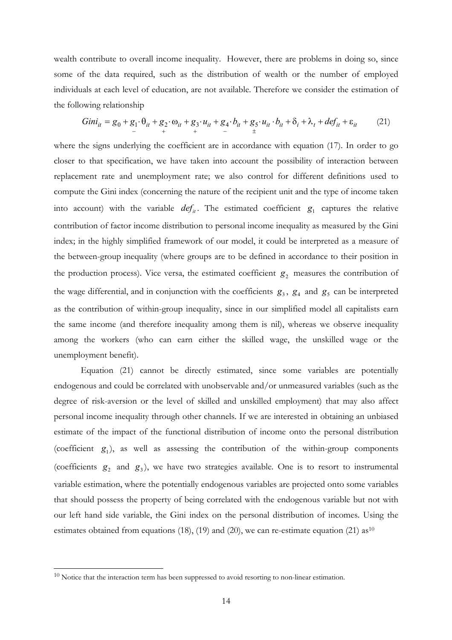wealth contribute to overall income inequality. However, there are problems in doing so, since some of the data required, such as the distribution of wealth or the number of employed individuals at each level of education, are not available. Therefore we consider the estimation of the following relationship

$$
Gini_{it} = g_0 + g_1 \cdot \theta_{it} + g_2 \cdot \omega_{it} + g_3 \cdot u_{it} + g_4 \cdot b_{it} + g_5 \cdot u_{it} \cdot b_{it} + \delta_i + \lambda_t + def_{it} + \epsilon_{it}
$$
 (21)

where the signs underlying the coefficient are in accordance with equation (17). In order to go closer to that specification, we have taken into account the possibility of interaction between replacement rate and unemployment rate; we also control for different definitions used to compute the Gini index (concerning the nature of the recipient unit and the type of income taken into account) with the variable  $def_{it}$ . The estimated coefficient  $g_1$  captures the relative contribution of factor income distribution to personal income inequality as measured by the Gini index; in the highly simplified framework of our model, it could be interpreted as a measure of the between-group inequality (where groups are to be defined in accordance to their position in the production process). Vice versa, the estimated coefficient  $g_2$  measures the contribution of the wage differential, and in conjunction with the coefficients  $g_3$ ,  $g_4$  and  $g_5$  can be interpreted as the contribution of within-group inequality, since in our simplified model all capitalists earn the same income (and therefore inequality among them is nil), whereas we observe inequality among the workers (who can earn either the skilled wage, the unskilled wage or the unemployment benefit).

 Equation (21) cannot be directly estimated, since some variables are potentially endogenous and could be correlated with unobservable and/or unmeasured variables (such as the degree of risk-aversion or the level of skilled and unskilled employment) that may also affect personal income inequality through other channels. If we are interested in obtaining an unbiased estimate of the impact of the functional distribution of income onto the personal distribution (coefficient  $g_1$ ), as well as assessing the contribution of the within-group components (coefficients  $g_2$  and  $g_3$ ), we have two strategies available. One is to resort to instrumental variable estimation, where the potentially endogenous variables are projected onto some variables that should possess the property of being correlated with the endogenous variable but not with our left hand side variable, the Gini index on the personal distribution of incomes. Using the estimates obtained from equations (18), (19) and (20), we can re-estimate equation (21)  $a s^{10}$ 

 $\overline{\phantom{a}}$ 

<sup>&</sup>lt;sup>10</sup> Notice that the interaction term has been suppressed to avoid resorting to non-linear estimation.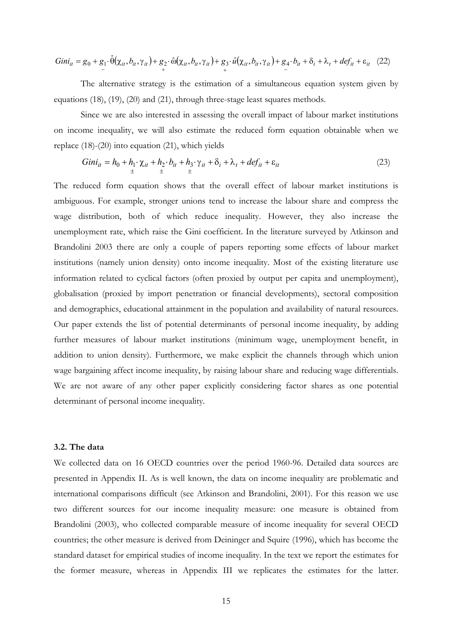$$
Gini_{it} = g_0 + g_1 \cdot \hat{\theta}(\chi_{it}, b_{it}, \gamma_{it}) + g_2 \cdot \hat{\omega}(\chi_{it}, b_{it}, \gamma_{it}) + g_3 \cdot \hat{u}(\chi_{it}, b_{it}, \gamma_{it}) + g_4 \cdot b_{it} + \delta_i + \lambda_t + def_{it} + \epsilon_{it} \quad (22)
$$

 The alternative strategy is the estimation of a simultaneous equation system given by equations (18), (19), (20) and (21), through three-stage least squares methods.

 Since we are also interested in assessing the overall impact of labour market institutions on income inequality, we will also estimate the reduced form equation obtainable when we replace (18)-(20) into equation (21), which yields

$$
Gini_{it} = h_0 + h_1 \cdot \chi_{it} + h_2 \cdot b_{it} + h_3 \cdot \gamma_{it} + \delta_i + \lambda_t + def_{it} + \varepsilon_{it}
$$
\n
$$
\tag{23}
$$

The reduced form equation shows that the overall effect of labour market institutions is ambiguous. For example, stronger unions tend to increase the labour share and compress the wage distribution, both of which reduce inequality. However, they also increase the unemployment rate, which raise the Gini coefficient. In the literature surveyed by Atkinson and Brandolini 2003 there are only a couple of papers reporting some effects of labour market institutions (namely union density) onto income inequality. Most of the existing literature use information related to cyclical factors (often proxied by output per capita and unemployment), globalisation (proxied by import penetration or financial developments), sectoral composition and demographics, educational attainment in the population and availability of natural resources. Our paper extends the list of potential determinants of personal income inequality, by adding further measures of labour market institutions (minimum wage, unemployment benefit, in addition to union density). Furthermore, we make explicit the channels through which union wage bargaining affect income inequality, by raising labour share and reducing wage differentials. We are not aware of any other paper explicitly considering factor shares as one potential determinant of personal income inequality.

#### **3.2. The data**

We collected data on 16 OECD countries over the period 1960-96. Detailed data sources are presented in Appendix II. As is well known, the data on income inequality are problematic and international comparisons difficult (see Atkinson and Brandolini, 2001). For this reason we use two different sources for our income inequality measure: one measure is obtained from Brandolini (2003), who collected comparable measure of income inequality for several OECD countries; the other measure is derived from Deininger and Squire (1996), which has become the standard dataset for empirical studies of income inequality. In the text we report the estimates for the former measure, whereas in Appendix III we replicates the estimates for the latter.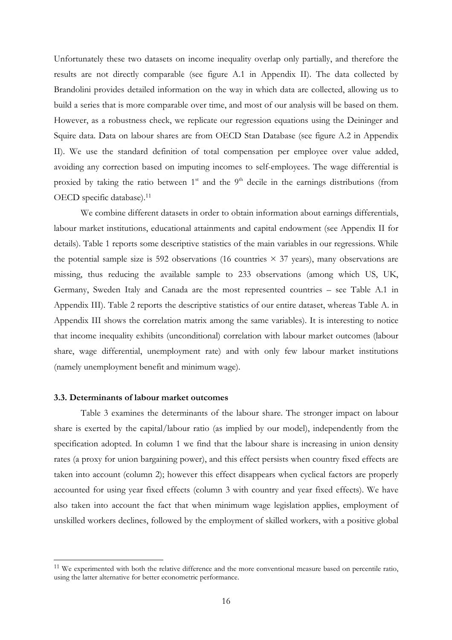Unfortunately these two datasets on income inequality overlap only partially, and therefore the results are not directly comparable (see figure A.1 in Appendix II). The data collected by Brandolini provides detailed information on the way in which data are collected, allowing us to build a series that is more comparable over time, and most of our analysis will be based on them. However, as a robustness check, we replicate our regression equations using the Deininger and Squire data. Data on labour shares are from OECD Stan Database (see figure A.2 in Appendix II). We use the standard definition of total compensation per employee over value added, avoiding any correction based on imputing incomes to self-employees. The wage differential is proxied by taking the ratio between  $1<sup>st</sup>$  and the  $9<sup>th</sup>$  decile in the earnings distributions (from OECD specific database).<sup>11</sup>

We combine different datasets in order to obtain information about earnings differentials, labour market institutions, educational attainments and capital endowment (see Appendix II for details). Table 1 reports some descriptive statistics of the main variables in our regressions. While the potential sample size is 592 observations (16 countries  $\times$  37 years), many observations are missing, thus reducing the available sample to 233 observations (among which US, UK, Germany, Sweden Italy and Canada are the most represented countries – see Table A.1 in Appendix III). Table 2 reports the descriptive statistics of our entire dataset, whereas Table A. in Appendix III shows the correlation matrix among the same variables). It is interesting to notice that income inequality exhibits (unconditional) correlation with labour market outcomes (labour share, wage differential, unemployment rate) and with only few labour market institutions (namely unemployment benefit and minimum wage).

#### **3.3. Determinants of labour market outcomes**

 $\overline{\phantom{a}}$ 

Table 3 examines the determinants of the labour share. The stronger impact on labour share is exerted by the capital/labour ratio (as implied by our model), independently from the specification adopted. In column 1 we find that the labour share is increasing in union density rates (a proxy for union bargaining power), and this effect persists when country fixed effects are taken into account (column 2); however this effect disappears when cyclical factors are properly accounted for using year fixed effects (column 3 with country and year fixed effects). We have also taken into account the fact that when minimum wage legislation applies, employment of unskilled workers declines, followed by the employment of skilled workers, with a positive global

<sup>&</sup>lt;sup>11</sup> We experimented with both the relative difference and the more conventional measure based on percentile ratio, using the latter alternative for better econometric performance.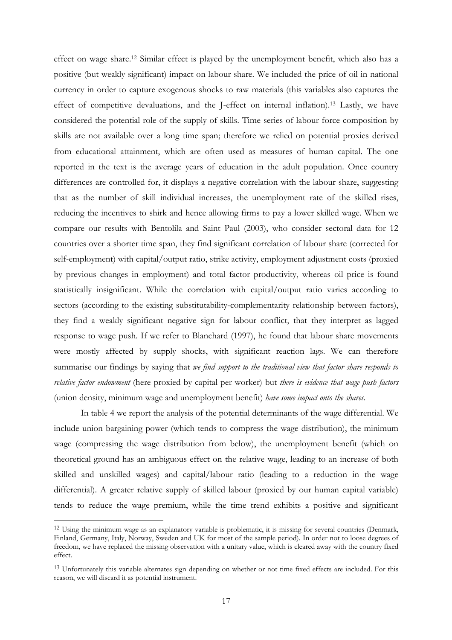effect on wage share.12 Similar effect is played by the unemployment benefit, which also has a positive (but weakly significant) impact on labour share. We included the price of oil in national currency in order to capture exogenous shocks to raw materials (this variables also captures the effect of competitive devaluations, and the J-effect on internal inflation).13 Lastly, we have considered the potential role of the supply of skills. Time series of labour force composition by skills are not available over a long time span; therefore we relied on potential proxies derived from educational attainment, which are often used as measures of human capital. The one reported in the text is the average years of education in the adult population. Once country differences are controlled for, it displays a negative correlation with the labour share, suggesting that as the number of skill individual increases, the unemployment rate of the skilled rises, reducing the incentives to shirk and hence allowing firms to pay a lower skilled wage. When we compare our results with Bentolila and Saint Paul (2003), who consider sectoral data for 12 countries over a shorter time span, they find significant correlation of labour share (corrected for self-employment) with capital/output ratio, strike activity, employment adjustment costs (proxied by previous changes in employment) and total factor productivity, whereas oil price is found statistically insignificant. While the correlation with capital/output ratio varies according to sectors (according to the existing substitutability-complementarity relationship between factors), they find a weakly significant negative sign for labour conflict, that they interpret as lagged response to wage push. If we refer to Blanchard (1997), he found that labour share movements were mostly affected by supply shocks, with significant reaction lags. We can therefore summarise our findings by saying that *we find support to the traditional view that factor share responds to relative factor endowment* (here proxied by capital per worker) but *there is evidence that wage push factors*  (union density, minimum wage and unemployment benefit) *have some impact onto the shares*.

In table 4 we report the analysis of the potential determinants of the wage differential. We include union bargaining power (which tends to compress the wage distribution), the minimum wage (compressing the wage distribution from below), the unemployment benefit (which on theoretical ground has an ambiguous effect on the relative wage, leading to an increase of both skilled and unskilled wages) and capital/labour ratio (leading to a reduction in the wage differential). A greater relative supply of skilled labour (proxied by our human capital variable) tends to reduce the wage premium, while the time trend exhibits a positive and significant

 $\overline{\phantom{a}}$ 

<sup>&</sup>lt;sup>12</sup> Using the minimum wage as an explanatory variable is problematic, it is missing for several countries (Denmark, Finland, Germany, Italy, Norway, Sweden and UK for most of the sample period). In order not to loose degrees of freedom, we have replaced the missing observation with a unitary value, which is cleared away with the country fixed effect.

<sup>&</sup>lt;sup>13</sup> Unfortunately this variable alternates sign depending on whether or not time fixed effects are included. For this reason, we will discard it as potential instrument.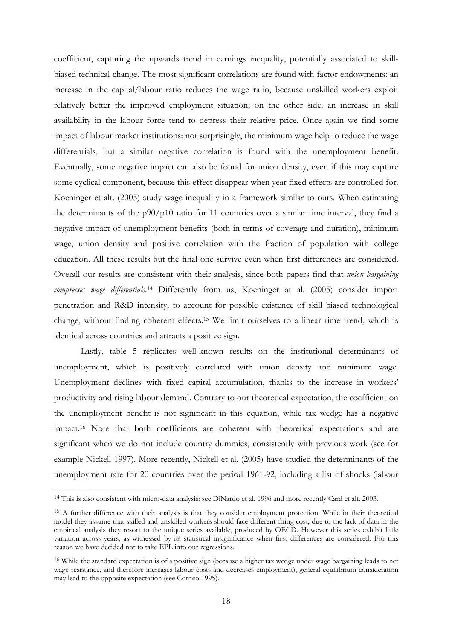coefficient, capturing the upwards trend in earnings inequality, potentially associated to skillbiased technical change. The most significant correlations are found with factor endowments: an increase in the capital/labour ratio reduces the wage ratio, because unskilled workers exploit relatively better the improved employment situation; on the other side, an increase in skill availability in the labour force tend to depress their relative price. Once again we find some impact of labour market institutions: not surprisingly, the minimum wage help to reduce the wage differentials, but a similar negative correlation is found with the unemployment benefit. Eventually, some negative impact can also be found for union density, even if this may capture some cyclical component, because this effect disappear when year fixed effects are controlled for. Koeninger et alt. (2005) study wage inequality in a framework similar to ours. When estimating the determinants of the  $p90/p10$  ratio for 11 countries over a similar time interval, they find a negative impact of unemployment benefits (both in terms of coverage and duration), minimum wage, union density and positive correlation with the fraction of population with college education. All these results but the final one survive even when first differences are considered. Overall our results are consistent with their analysis, since both papers find that *union bargaining*  compresses wage differentials.<sup>14</sup> Differently from us, Koeninger at al. (2005) consider import penetration and R&D intensity, to account for possible existence of skill biased technological change, without finding coherent effects.15 We limit ourselves to a linear time trend, which is identical across countries and attracts a positive sign.

 Lastly, table 5 replicates well-known results on the institutional determinants of unemployment, which is positively correlated with union density and minimum wage. Unemployment declines with fixed capital accumulation, thanks to the increase in workers' productivity and rising labour demand. Contrary to our theoretical expectation, the coefficient on the unemployment benefit is not significant in this equation, while tax wedge has a negative impact.16 Note that both coefficients are coherent with theoretical expectations and are significant when we do not include country dummies, consistently with previous work (see for example Nickell 1997). More recently, Nickell et al. (2005) have studied the determinants of the unemployment rate for 20 countries over the period 1961-92, including a list of shocks (labour

 $\overline{\phantom{a}}$ 

<sup>14</sup> This is also consistent with micro-data analysis: see DiNardo et al. 1996 and more recently Card et alt. 2003.

<sup>&</sup>lt;sup>15</sup> A further difference with their analysis is that they consider employment protection. While in their theoretical model they assume that skilled and unskilled workers should face different firing cost, due to the lack of data in the empirical analysis they resort to the unique series available, produced by OECD. However this series exhibit little variation across years, as witnessed by its statistical insignificance when first differences are considered. For this reason we have decided not to take EPL into our regressions.

<sup>&</sup>lt;sup>16</sup> While the standard expectation is of a positive sign (because a higher tax wedge under wage bargaining leads to net wage resistance, and therefore increases labour costs and decreases employment), general equilibrium consideration may lead to the opposite expectation (see Corneo 1995).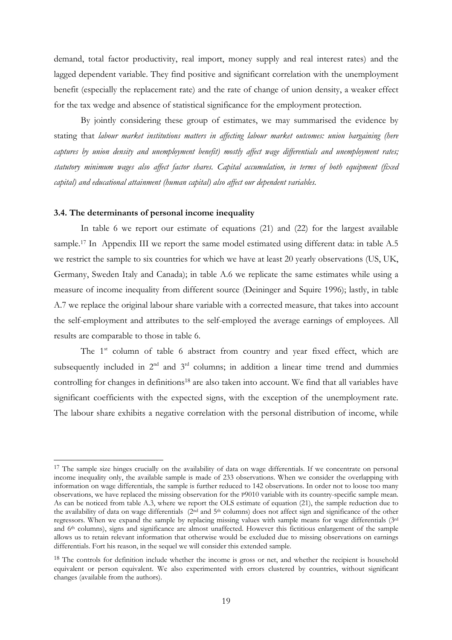demand, total factor productivity, real import, money supply and real interest rates) and the lagged dependent variable. They find positive and significant correlation with the unemployment benefit (especially the replacement rate) and the rate of change of union density, a weaker effect for the tax wedge and absence of statistical significance for the employment protection.

 By jointly considering these group of estimates, we may summarised the evidence by stating that *labour market institutions matters in affecting labour market outcomes: union bargaining (here captures by union density and unemployment benefit) mostly affect wage differentials and unemployment rates; statutory minimum wages also affect factor shares. Capital accumulation, in terms of both equipment (fixed capital) and educational attainment (human capital) also affect our dependent variables.* 

#### **3.4. The determinants of personal income inequality**

 $\overline{\phantom{a}}$ 

In table 6 we report our estimate of equations (21) and (22) for the largest available sample.<sup>17</sup> In Appendix III we report the same model estimated using different data: in table A.5 we restrict the sample to six countries for which we have at least 20 yearly observations (US, UK, Germany, Sweden Italy and Canada); in table A.6 we replicate the same estimates while using a measure of income inequality from different source (Deininger and Squire 1996); lastly, in table A.7 we replace the original labour share variable with a corrected measure, that takes into account the self-employment and attributes to the self-employed the average earnings of employees. All results are comparable to those in table 6.

The  $1<sup>st</sup>$  column of table 6 abstract from country and year fixed effect, which are subsequently included in  $2<sup>nd</sup>$  and  $3<sup>rd</sup>$  columns; in addition a linear time trend and dummies controlling for changes in definitions<sup>18</sup> are also taken into account. We find that all variables have significant coefficients with the expected signs, with the exception of the unemployment rate. The labour share exhibits a negative correlation with the personal distribution of income, while

<sup>&</sup>lt;sup>17</sup> The sample size hinges crucially on the availability of data on wage differentials. If we concentrate on personal income inequality only, the available sample is made of 233 observations. When we consider the overlapping with information on wage differentials, the sample is further reduced to 142 observations. In order not to loose too many observations, we have replaced the missing observation for the P9010 variable with its country-specific sample mean. As can be noticed from table A.3, where we report the OLS estimate of equation (21), the sample reduction due to the availability of data on wage differentials (2<sup>nd</sup> and 5<sup>th</sup> columns) does not affect sign and significance of the other regressors. When we expand the sample by replacing missing values with sample means for wage differentials (3rd and 6<sup>th</sup> columns), signs and significance are almost unaffected. However this fictitious enlargement of the sample allows us to retain relevant information that otherwise would be excluded due to missing observations on earnings differentials. Fort his reason, in the sequel we will consider this extended sample.

<sup>&</sup>lt;sup>18</sup> The controls for definition include whether the income is gross or net, and whether the recipient is household equivalent or person equivalent. We also experimented with errors clustered by countries, without significant changes (available from the authors).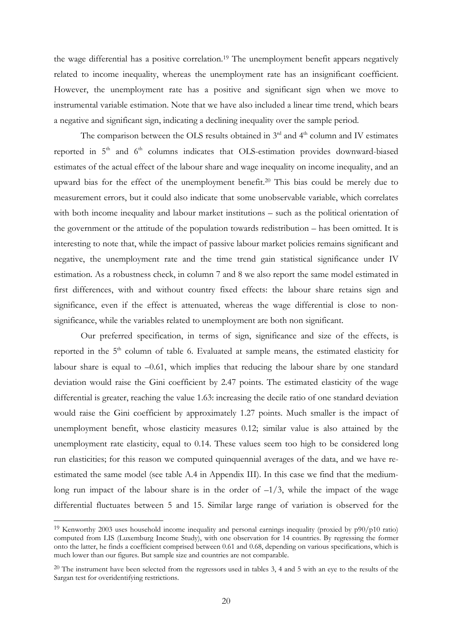the wage differential has a positive correlation.19 The unemployment benefit appears negatively related to income inequality, whereas the unemployment rate has an insignificant coefficient. However, the unemployment rate has a positive and significant sign when we move to instrumental variable estimation. Note that we have also included a linear time trend, which bears a negative and significant sign, indicating a declining inequality over the sample period.

The comparison between the OLS results obtained in  $3<sup>rd</sup>$  and  $4<sup>th</sup>$  column and IV estimates reported in  $5<sup>th</sup>$  and  $6<sup>th</sup>$  columns indicates that OLS-estimation provides downward-biased estimates of the actual effect of the labour share and wage inequality on income inequality, and an upward bias for the effect of the unemployment benefit.20 This bias could be merely due to measurement errors, but it could also indicate that some unobservable variable, which correlates with both income inequality and labour market institutions – such as the political orientation of the government or the attitude of the population towards redistribution – has been omitted. It is interesting to note that, while the impact of passive labour market policies remains significant and negative, the unemployment rate and the time trend gain statistical significance under IV estimation. As a robustness check, in column 7 and 8 we also report the same model estimated in first differences, with and without country fixed effects: the labour share retains sign and significance, even if the effect is attenuated, whereas the wage differential is close to nonsignificance, while the variables related to unemployment are both non significant.

 Our preferred specification, in terms of sign, significance and size of the effects, is reported in the  $5<sup>th</sup>$  column of table 6. Evaluated at sample means, the estimated elasticity for labour share is equal to –0.61, which implies that reducing the labour share by one standard deviation would raise the Gini coefficient by 2.47 points. The estimated elasticity of the wage differential is greater, reaching the value 1.63: increasing the decile ratio of one standard deviation would raise the Gini coefficient by approximately 1.27 points. Much smaller is the impact of unemployment benefit, whose elasticity measures 0.12; similar value is also attained by the unemployment rate elasticity, equal to 0.14. These values seem too high to be considered long run elasticities; for this reason we computed quinquennial averages of the data, and we have reestimated the same model (see table A.4 in Appendix III). In this case we find that the mediumlong run impact of the labour share is in the order of  $-1/3$ , while the impact of the wage differential fluctuates between 5 and 15. Similar large range of variation is observed for the

 $\overline{\phantom{a}}$ 

<sup>&</sup>lt;sup>19</sup> Kenworthy 2003 uses household income inequality and personal earnings inequality (proxied by  $p90/p10$  ratio) computed from LIS (Luxemburg Income Study), with one observation for 14 countries. By regressing the former onto the latter, he finds a coefficient comprised between 0.61 and 0.68, depending on various specifications, which is much lower than our figures. But sample size and countries are not comparable.

 $^{20}$  The instrument have been selected from the regressors used in tables 3, 4 and 5 with an eye to the results of the Sargan test for overidentifying restrictions.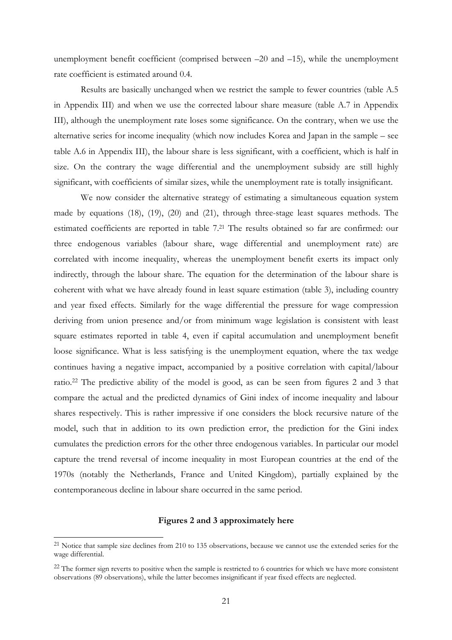unemployment benefit coefficient (comprised between –20 and –15), while the unemployment rate coefficient is estimated around 0.4.

Results are basically unchanged when we restrict the sample to fewer countries (table A.5 in Appendix III) and when we use the corrected labour share measure (table A.7 in Appendix III), although the unemployment rate loses some significance. On the contrary, when we use the alternative series for income inequality (which now includes Korea and Japan in the sample – see table A.6 in Appendix III), the labour share is less significant, with a coefficient, which is half in size. On the contrary the wage differential and the unemployment subsidy are still highly significant, with coefficients of similar sizes, while the unemployment rate is totally insignificant.

We now consider the alternative strategy of estimating a simultaneous equation system made by equations (18), (19), (20) and (21), through three-stage least squares methods. The estimated coefficients are reported in table 7.21 The results obtained so far are confirmed: our three endogenous variables (labour share, wage differential and unemployment rate) are correlated with income inequality, whereas the unemployment benefit exerts its impact only indirectly, through the labour share. The equation for the determination of the labour share is coherent with what we have already found in least square estimation (table 3), including country and year fixed effects. Similarly for the wage differential the pressure for wage compression deriving from union presence and/or from minimum wage legislation is consistent with least square estimates reported in table 4, even if capital accumulation and unemployment benefit loose significance. What is less satisfying is the unemployment equation, where the tax wedge continues having a negative impact, accompanied by a positive correlation with capital/labour ratio.22 The predictive ability of the model is good, as can be seen from figures 2 and 3 that compare the actual and the predicted dynamics of Gini index of income inequality and labour shares respectively. This is rather impressive if one considers the block recursive nature of the model, such that in addition to its own prediction error, the prediction for the Gini index cumulates the prediction errors for the other three endogenous variables. In particular our model capture the trend reversal of income inequality in most European countries at the end of the 1970s (notably the Netherlands, France and United Kingdom), partially explained by the contemporaneous decline in labour share occurred in the same period.

#### **Figures 2 and 3 approximately here**

 $\overline{a}$ 

<sup>&</sup>lt;sup>21</sup> Notice that sample size declines from 210 to 135 observations, because we cannot use the extended series for the wage differential.

<sup>&</sup>lt;sup>22</sup> The former sign reverts to positive when the sample is restricted to 6 countries for which we have more consistent observations (89 observations), while the latter becomes insignificant if year fixed effects are neglected.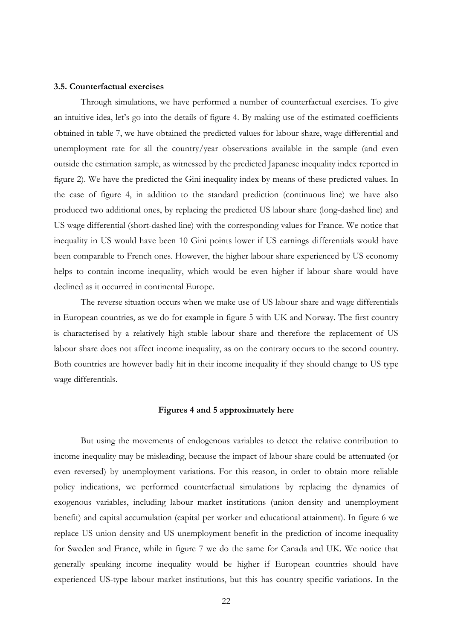#### **3.5. Counterfactual exercises**

Through simulations, we have performed a number of counterfactual exercises. To give an intuitive idea, let's go into the details of figure 4. By making use of the estimated coefficients obtained in table 7, we have obtained the predicted values for labour share, wage differential and unemployment rate for all the country/year observations available in the sample (and even outside the estimation sample, as witnessed by the predicted Japanese inequality index reported in figure 2). We have the predicted the Gini inequality index by means of these predicted values. In the case of figure 4, in addition to the standard prediction (continuous line) we have also produced two additional ones, by replacing the predicted US labour share (long-dashed line) and US wage differential (short-dashed line) with the corresponding values for France. We notice that inequality in US would have been 10 Gini points lower if US earnings differentials would have been comparable to French ones. However, the higher labour share experienced by US economy helps to contain income inequality, which would be even higher if labour share would have declined as it occurred in continental Europe.

The reverse situation occurs when we make use of US labour share and wage differentials in European countries, as we do for example in figure 5 with UK and Norway. The first country is characterised by a relatively high stable labour share and therefore the replacement of US labour share does not affect income inequality, as on the contrary occurs to the second country. Both countries are however badly hit in their income inequality if they should change to US type wage differentials.

#### **Figures 4 and 5 approximately here**

But using the movements of endogenous variables to detect the relative contribution to income inequality may be misleading, because the impact of labour share could be attenuated (or even reversed) by unemployment variations. For this reason, in order to obtain more reliable policy indications, we performed counterfactual simulations by replacing the dynamics of exogenous variables, including labour market institutions (union density and unemployment benefit) and capital accumulation (capital per worker and educational attainment). In figure 6 we replace US union density and US unemployment benefit in the prediction of income inequality for Sweden and France, while in figure 7 we do the same for Canada and UK. We notice that generally speaking income inequality would be higher if European countries should have experienced US-type labour market institutions, but this has country specific variations. In the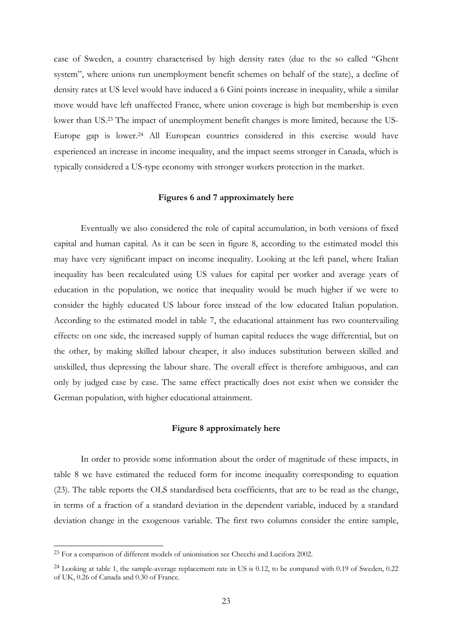case of Sweden, a country characterised by high density rates (due to the so called "Ghent system", where unions run unemployment benefit schemes on behalf of the state), a decline of density rates at US level would have induced a 6 Gini points increase in inequality, while a similar move would have left unaffected France, where union coverage is high but membership is even lower than US.23 The impact of unemployment benefit changes is more limited, because the US-Europe gap is lower.24 All European countries considered in this exercise would have experienced an increase in income inequality, and the impact seems stronger in Canada, which is typically considered a US-type economy with stronger workers protection in the market.

#### **Figures 6 and 7 approximately here**

Eventually we also considered the role of capital accumulation, in both versions of fixed capital and human capital. As it can be seen in figure 8, according to the estimated model this may have very significant impact on income inequality. Looking at the left panel, where Italian inequality has been recalculated using US values for capital per worker and average years of education in the population, we notice that inequality would be much higher if we were to consider the highly educated US labour force instead of the low educated Italian population. According to the estimated model in table 7, the educational attainment has two countervailing effects: on one side, the increased supply of human capital reduces the wage differential, but on the other, by making skilled labour cheaper, it also induces substitution between skilled and unskilled, thus depressing the labour share. The overall effect is therefore ambiguous, and can only by judged case by case. The same effect practically does not exist when we consider the German population, with higher educational attainment.

#### **Figure 8 approximately here**

In order to provide some information about the order of magnitude of these impacts, in table 8 we have estimated the reduced form for income inequality corresponding to equation (23). The table reports the OLS standardised beta coefficients, that are to be read as the change, in terms of a fraction of a standard deviation in the dependent variable, induced by a standard deviation change in the exogenous variable. The first two columns consider the entire sample,

 $\overline{a}$ 

<sup>&</sup>lt;sup>23</sup> For a comparison of different models of unionisation see Checchi and Lucifora 2002.

<sup>&</sup>lt;sup>24</sup> Looking at table 1, the sample-average replacement rate in US is 0.12, to be compared with 0.19 of Sweden, 0.22 of UK, 0.26 of Canada and 0.30 of France.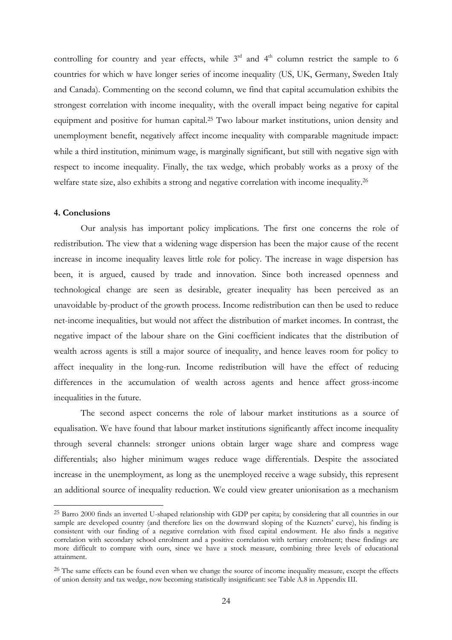controlling for country and year effects, while  $3<sup>rd</sup>$  and  $4<sup>th</sup>$  column restrict the sample to 6 countries for which w have longer series of income inequality (US, UK, Germany, Sweden Italy and Canada). Commenting on the second column, we find that capital accumulation exhibits the strongest correlation with income inequality, with the overall impact being negative for capital equipment and positive for human capital.25 Two labour market institutions, union density and unemployment benefit, negatively affect income inequality with comparable magnitude impact: while a third institution, minimum wage, is marginally significant, but still with negative sign with respect to income inequality. Finally, the tax wedge, which probably works as a proxy of the welfare state size, also exhibits a strong and negative correlation with income inequality.<sup>26</sup>

#### **4. Conclusions**

 $\overline{\phantom{a}}$ 

Our analysis has important policy implications. The first one concerns the role of redistribution. The view that a widening wage dispersion has been the major cause of the recent increase in income inequality leaves little role for policy. The increase in wage dispersion has been, it is argued, caused by trade and innovation. Since both increased openness and technological change are seen as desirable, greater inequality has been perceived as an unavoidable by-product of the growth process. Income redistribution can then be used to reduce net-income inequalities, but would not affect the distribution of market incomes. In contrast, the negative impact of the labour share on the Gini coefficient indicates that the distribution of wealth across agents is still a major source of inequality, and hence leaves room for policy to affect inequality in the long-run. Income redistribution will have the effect of reducing differences in the accumulation of wealth across agents and hence affect gross-income inequalities in the future.

The second aspect concerns the role of labour market institutions as a source of equalisation. We have found that labour market institutions significantly affect income inequality through several channels: stronger unions obtain larger wage share and compress wage differentials; also higher minimum wages reduce wage differentials. Despite the associated increase in the unemployment, as long as the unemployed receive a wage subsidy, this represent an additional source of inequality reduction. We could view greater unionisation as a mechanism

<sup>25</sup> Barro 2000 finds an inverted U-shaped relationship with GDP per capita; by considering that all countries in our sample are developed country (and therefore lies on the downward sloping of the Kuznets' curve), his finding is consistent with our finding of a negative correlation with fixed capital endowment. He also finds a negative correlation with secondary school enrolment and a positive correlation with tertiary enrolment; these findings are more difficult to compare with ours, since we have a stock measure, combining three levels of educational attainment.

<sup>&</sup>lt;sup>26</sup> The same effects can be found even when we change the source of income inequality measure, except the effects of union density and tax wedge, now becoming statistically insignificant: see Table A.8 in Appendix III.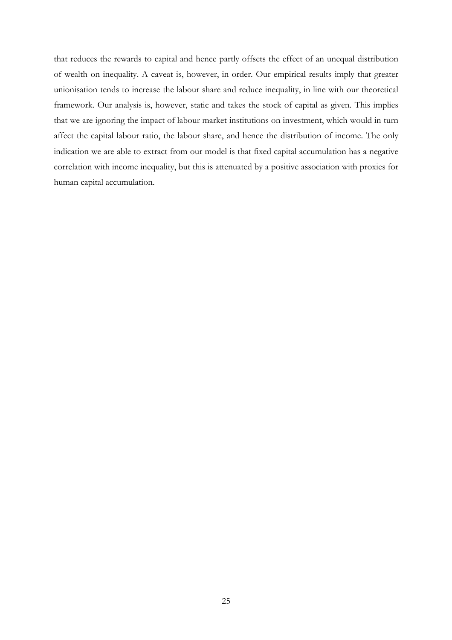that reduces the rewards to capital and hence partly offsets the effect of an unequal distribution of wealth on inequality. A caveat is, however, in order. Our empirical results imply that greater unionisation tends to increase the labour share and reduce inequality, in line with our theoretical framework. Our analysis is, however, static and takes the stock of capital as given. This implies that we are ignoring the impact of labour market institutions on investment, which would in turn affect the capital labour ratio, the labour share, and hence the distribution of income. The only indication we are able to extract from our model is that fixed capital accumulation has a negative correlation with income inequality, but this is attenuated by a positive association with proxies for human capital accumulation.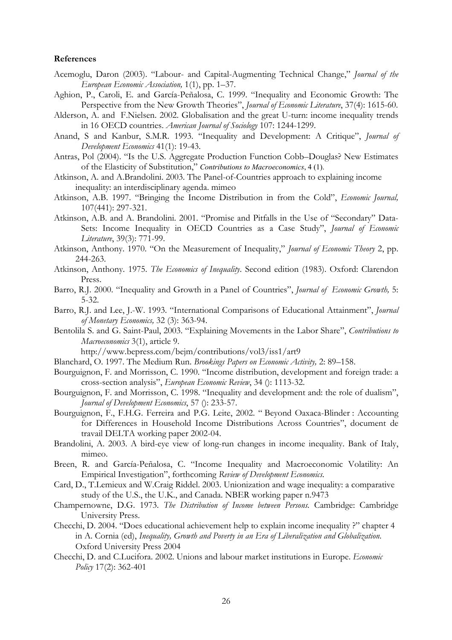#### **References**

- Acemoglu, Daron (2003). "Labour- and Capital-Augmenting Technical Change," *Journal of the European Economic Association,* 1(1), pp. 1–37.
- Aghion, P., Caroli, E. and García-Peñalosa, C. 1999. "Inequality and Economic Growth: The Perspective from the New Growth Theories", *Journal of Economic Literature*, 37(4): 1615-60.
- Alderson, A. and F.Nielsen. 2002. Globalisation and the great U-turn: income inequality trends in 16 OECD countries. *American Journal of Sociology* 107: 1244-1299.
- Anand, S and Kanbur, S.M.R. 1993. "Inequality and Development: A Critique", *Journal of Development Economics* 41(1): 19-43.
- Antras, Pol (2004). "Is the U.S. Aggregate Production Function Cobb–Douglas? New Estimates of the Elasticity of Substitution," *Contributions to Macroeconomics*, 4 (1).
- Atkinson, A. and A.Brandolini. 2003. The Panel-of-Countries approach to explaining income inequality: an interdisciplinary agenda. mimeo
- Atkinson, A.B. 1997. "Bringing the Income Distribution in from the Cold", *Economic Journal,* 107(441): 297-321.
- Atkinson, A.B. and A. Brandolini. 2001. "Promise and Pitfalls in the Use of "Secondary" Data-Sets: Income Inequality in OECD Countries as a Case Study", *Journal of Economic Literature*, 39(3): 771-99.
- Atkinson, Anthony. 1970. "On the Measurement of Inequality," *Journal of Economic Theory* 2, pp. 244-263.
- Atkinson, Anthony. 1975. *The Economics of Inequality*. Second edition (1983). Oxford: Clarendon Press.
- Barro, R.J. 2000. "Inequality and Growth in a Panel of Countries", *Journal of Economic Growth,* 5: 5-32.
- Barro, R.J. and Lee, J.-W. 1993. "International Comparisons of Educational Attainment", *Journal of Monetary Economics,* 32 (3): 363-94.
- Bentolila S. and G. Saint-Paul, 2003. "Explaining Movements in the Labor Share", *Contributions to Macroeconomics* 3(1), article 9.

http://www.bepress.com/bejm/contributions/vol3/iss1/art9

- Blanchard, O. 1997. The Medium Run. *Brookings Papers on Economic Activity,* 2: 89–158.
- Bourguignon, F. and Morrisson, C. 1990. "Income distribution, development and foreign trade: a cross-section analysis", *European Economic Review*, 34 (): 1113-32.
- Bourguignon, F. and Morrisson, C. 1998. "Inequality and development and: the role of dualism", *Journal of Development Economics*, 57 (): 233-57.
- Bourguignon, F., F.H.G. Ferreira and P.G. Leite, 2002. " Beyond Oaxaca-Blinder : Accounting for Differences in Household Income Distributions Across Countries", document de travail DELTA working paper 2002-04.
- Brandolini, A. 2003. A bird-eye view of long-run changes in income inequality. Bank of Italy, mimeo.
- Breen, R. and García-Peñalosa, C. "Income Inequality and Macroeconomic Volatility: An Empirical Investigation", forthcoming *Review of Development Economics*.
- Card, D., T.Lemieux and W.Craig Riddel. 2003. Unionization and wage inequality: a comparative study of the U.S., the U.K., and Canada. NBER working paper n.9473
- Champernowne, D.G. 1973. *The Distribution of Income between Persons.* Cambridge: Cambridge University Press.
- Checchi, D. 2004. "Does educational achievement help to explain income inequality ?" chapter 4 in A. Cornia (ed), *Inequality, Growth and Poverty in an Era of Liberalization and Globalization*. Oxford University Press 2004
- Checchi, D. and C.Lucifora. 2002. Unions and labour market institutions in Europe. *Economic Policy* 17(2): 362-401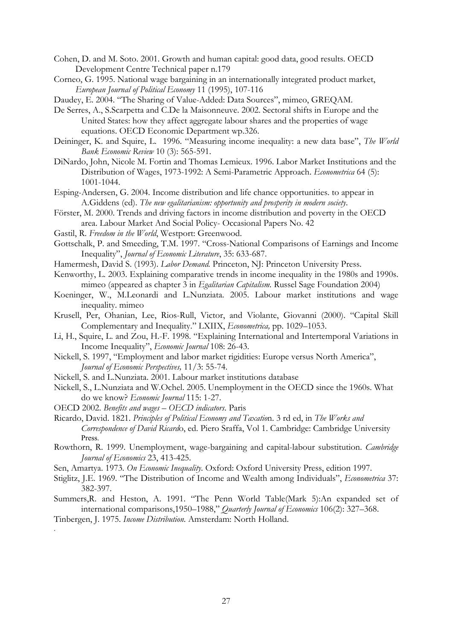Cohen, D. and M. Soto. 2001. Growth and human capital: good data, good results. OECD Development Centre Technical paper n.179

Corneo, G. 1995. National wage bargaining in an internationally integrated product market, *European Journal of Political Economy* 11 (1995), 107-116

Daudey, E. 2004. "The Sharing of Value-Added: Data Sources", mimeo, GREQAM.

- De Serres, A., S.Scarpetta and C.De la Maisonneuve. 2002. Sectoral shifts in Europe and the United States: how they affect aggregate labour shares and the properties of wage equations. OECD Economic Department wp.326.
- Deininger, K. and Squire, L. 1996. "Measuring income inequality: a new data base", *The World Bank Economic Review* 10 (3): 565-591.
- DiNardo, John, Nicole M. Fortin and Thomas Lemieux. 1996. Labor Market Institutions and the Distribution of Wages, 1973-1992: A Semi-Parametric Approach. *Econometrica* 64 (5): 1001-1044.
- Esping-Andersen, G. 2004. Income distribution and life chance opportunities. to appear in A.Giddens (ed). *The new egalitarianism: opportunity and prosperity in modern society*.
- Förster, M. 2000. Trends and driving factors in income distribution and poverty in the OECD area. Labour Market And Social Policy- Occasional Papers No. 42
- Gastil, R. *Freedom in the World*, Westport: Greenwood.
- Gottschalk, P. and Smeeding, T.M. 1997. "Cross-National Comparisons of Earnings and Income Inequality", *Journal of Economic Literature*, 35: 633-687.
- Hamermesh, David S. (1993). *Labor Demand.* Princeton, NJ: Princeton University Press.
- Kenworthy, L. 2003. Explaining comparative trends in income inequality in the 1980s and 1990s. mimeo (appeared as chapter 3 in *Egalitarian Capitalism.* Russel Sage Foundation 2004)
- Koeninger, W., M.Leonardi and L.Nunziata. 2005. Labour market institutions and wage inequality. mimeo
- Krusell, Per, Ohanian, Lee, Rios-Rull, Victor, and Violante, Giovanni (2000). "Capital Skill Complementary and Inequality." LXIIX, *Econometrica,* pp. 1029–1053.
- Li, H., Squire, L. and Zou, H.-F. 1998. "Explaining International and Intertemporal Variations in Income Inequality", *Economic Journal* 108: 26-43.
- Nickell, S. 1997, "Employment and labor market rigidities: Europe versus North America", *Journal of Economic Perspectives,* 11/3: 55-74.
- Nickell, S. and L.Nunziata. 2001. Labour market institutions database
- Nickell, S., L.Nunziata and W.Ochel. 2005. Unemployment in the OECD since the 1960s. What do we know? *Economic Journal* 115: 1-27.
- OECD 2002. *Benefits and wages OECD indicators*. Paris
- Ricardo, David. 1821. *Principles of Political Economy and Taxatio*n. 3 rd ed, in *The Works and Correspondence of David Ricard*o, ed. Piero Sraffa, Vol 1. Cambridge: Cambridge University Press.
- Rowthorn, R. 1999. Unemployment, wage-bargaining and capital-labour substitution. *Cambridge Journal of Economics* 23, 413-425.
- Sen, Amartya. 1973*. On Economic Inequality*. Oxford: Oxford University Press, edition 1997.
- Stiglitz, J.E. 1969. "The Distribution of Income and Wealth among Individuals", *Econometrica* 37: 382-397.
- Summers,R. and Heston, A. 1991. "The Penn World Table(Mark 5):An expanded set of international comparisons,1950–1988," *Quarterly Journal of Economics* 106(2): 327–368.

Tinbergen, J. 1975. *Income Distribution.* Amsterdam: North Holland. .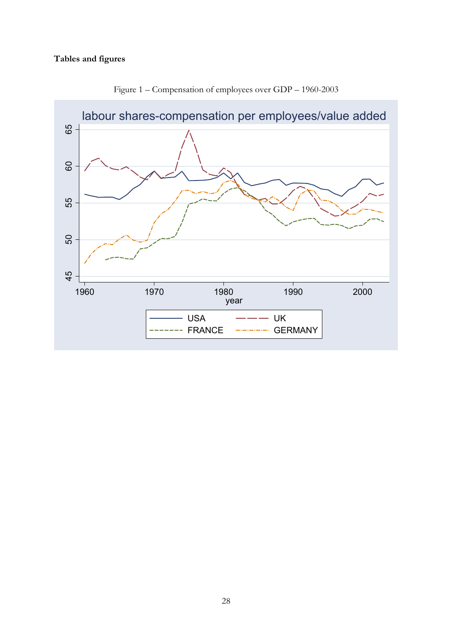### **Tables and figures**



Figure 1 – Compensation of employees over GDP – 1960-2003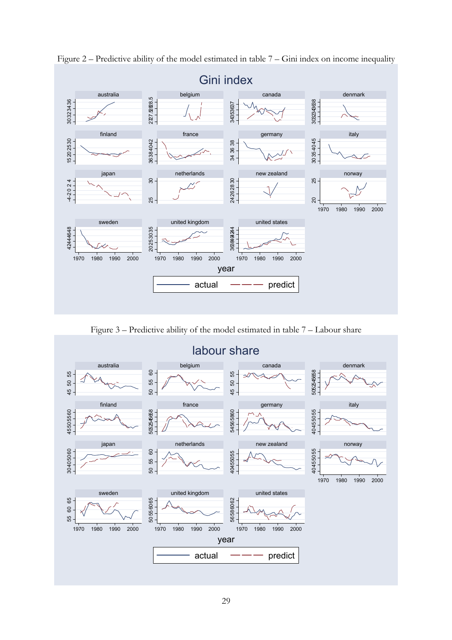

Figure 2 – Predictive ability of the model estimated in table 7 – Gini index on income inequality

Figure 3 – Predictive ability of the model estimated in table 7 – Labour share

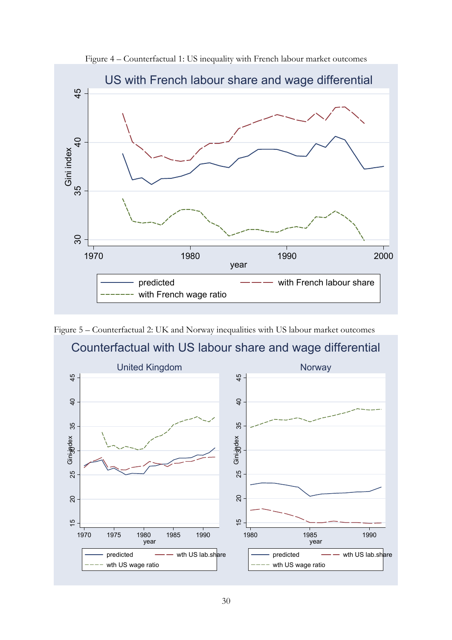

Figure 4 – Counterfactual 1: US inequality with French labour market outcomes



Figure 5 – Counterfactual 2: UK and Norway inequalities with US labour market outcomes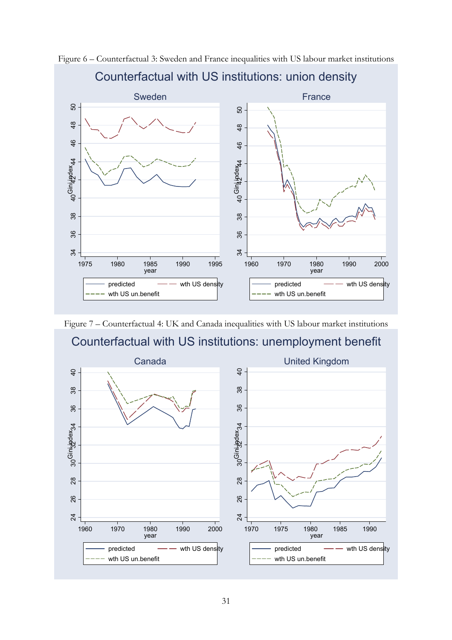

Figure 6 – Counterfactual 3: Sweden and France inequalities with US labour market institutions

# Counterfactual with US institutions: union density

Figure 7 – Counterfactual 4: UK and Canada inequalities with US labour market institutions

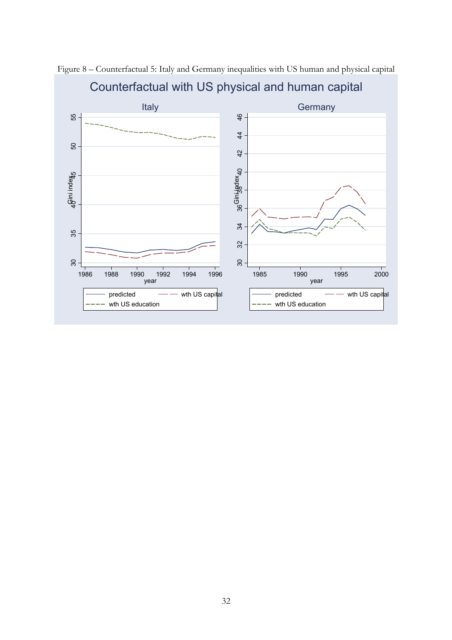

Figure 8 – Counterfactual 5: Italy and Germany inequalities with US human and physical capital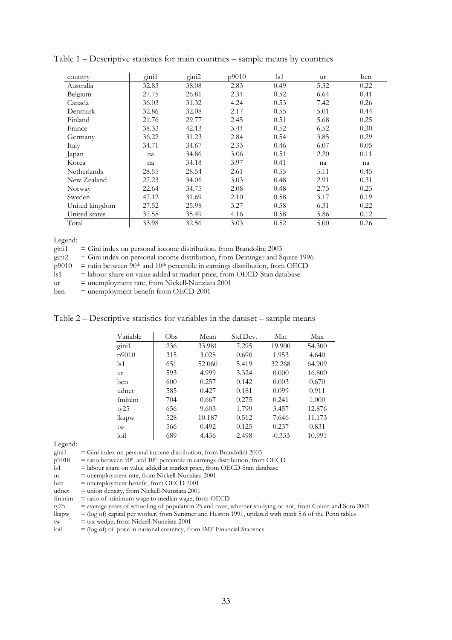| country        | gini1 | gini2 | p9010 | $\lg 1$ | ur   | ben  |
|----------------|-------|-------|-------|---------|------|------|
| Australia      | 32.83 | 38.08 | 2.83  | 0.49    | 5.32 | 0.22 |
| Belgium        | 27.75 | 26.81 | 2.34  | 0.52    | 6.64 | 0.41 |
| Canada         | 36.03 | 31.32 | 4.24  | 0.53    | 7.42 | 0.26 |
| Denmark        | 32.86 | 32.08 | 2.17  | 0.55    | 5.01 | 0.44 |
| Finland        | 21.76 | 29.77 | 2.45  | 0.51    | 5.68 | 0.25 |
| France         | 38.33 | 42.13 | 3.44  | 0.52    | 6.52 | 0.30 |
| Germany        | 36.22 | 31.23 | 2.84  | 0.54    | 3.85 | 0.29 |
| Italy          | 34.71 | 34.67 | 2.33  | 0.46    | 6.07 | 0.05 |
| Japan          | na    | 34.86 | 3.06  | 0.51    | 2.20 | 0.11 |
| Korea          | na    | 34.18 | 3.97  | 0.41    | na   | na   |
| Netherlands    | 28.55 | 28.54 | 2.61  | 0.55    | 5.11 | 0.45 |
| New Zealand    | 27.23 | 34.06 | 3.03  | 0.48    | 2.91 | 0.31 |
| Norway         | 22.64 | 34.75 | 2.08  | 0.48    | 2.73 | 0.23 |
| Sweden         | 47.12 | 31.69 | 2.10  | 0.58    | 3.17 | 0.19 |
| United kingdom | 27.52 | 25.98 | 3.27  | 0.58    | 6.31 | 0.22 |
| United states  | 37.58 | 35.49 | 4.16  | 0.58    | 5.86 | 0.12 |
| Total          | 33.98 | 32.56 | 3.03  | 0.52    | 5.00 | 0.26 |

Table 1 – Descriptive statistics for main countries – sample means by countries

Legend:

| gini1    | $=$ Gini index on personal income distribution, from Brandolini 2003                                   |
|----------|--------------------------------------------------------------------------------------------------------|
| $\sin 2$ | $=$ Gini index on personal income distribution, from Deininger and Squire 1996                         |
| p9010    | $=$ ratio between 90 <sup>th</sup> and 10 <sup>th</sup> percentile in earnings distribution, from OECD |
| $\lg 1$  | = labour share on value added at market price, from OECD-Stan database                                 |
| ur       | $=$ unemployment rate, from Nickell-Nunziata 2001                                                      |
| ben      | $=$ unemployment benefit from OECD 2001                                                                |

Table 2 – Descriptive statistics for variables in the dataset – sample means

| Variable      | Obs | Mean   | Std.Dev. | Min      | Max    |
|---------------|-----|--------|----------|----------|--------|
| gini1         | 236 | 33.981 | 7.295    | 19.900   | 54.300 |
| p9010         | 315 | 3.028  | 0.690    | 1.953    | 4.640  |
| $\lg 1$       | 651 | 52.060 | 5.419    | 32.268   | 64.909 |
| ur            | 593 | 4.999  | 3.324    | 0.000    | 16.800 |
| ben           | 600 | 0.257  | 0.142    | 0.003    | 0.670  |
| udnet         | 585 | 0.427  | 0.181    | 0.099    | 0.911  |
| fminim        | 704 | 0.667  | 0.275    | 0.241    | 1.000  |
| ty25          | 656 | 9.603  | 1.799    | 3.457    | 12.876 |
| lkapw         | 528 | 10.187 | 0.512    | 7.646    | 11.173 |
| tw            | 566 | 0.492  | 0.125    | 0.237    | 0.831  |
| $\text{loil}$ | 689 | 4.436  | 2.498    | $-0.333$ | 10.991 |

Legend:

gini1 = Gini index on personal income distribution, from Brandolini 2003

- $p9010$  = ratio between  $90$ <sup>th</sup> and  $10$ <sup>th</sup> percentile in earnings distribution, from OECD stan database = labour share on value added at market price, from OECD-Stan database
- $=$  labour share on value added at market price, from OECD-Stan database
- ur = unemployment rate, from Nickell-Nunziata 2001
- ben = unemployment benefit, from OECD 2001
- udnet = union density, from Nickell-Nunziata  $2001$
- fminim  $=$  ratio of minimum wage to median wage, from OECD ty 25  $=$  average years of schooling of population 25 and over,
- = average years of schooling of population 25 and over, whether studying or not, from Cohen and Soto 2001

lkapw = (log of) capital per worker, from Summer and Heston 1991, updated with mark 5.6 of the Penn tables

tw = tax wedge, from Nickell-Nunziata 2001<br>loil =  $(\log \text{ of})$  oil price in national currency, from

 $l =$  (log of) oil price in national currency, from IMF Financial Statistics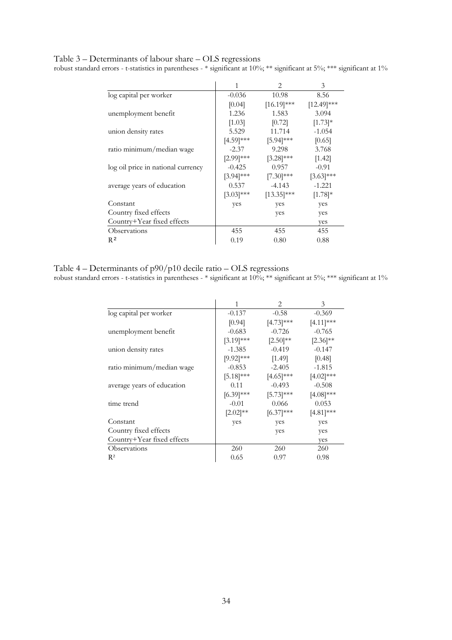### Table 3 – Determinants of labour share – OLS regressions

robust standard errors - t-statistics in parentheses - \* significant at 10%; \*\* significant at 5%; \*\*\* significant at 1%

|                                    | 1            | 2             | 3             |
|------------------------------------|--------------|---------------|---------------|
| log capital per worker             | $-0.036$     | 10.98         | 8.56          |
|                                    | [0.04]       | $[16.19]$ *** | $[12.49]$ *** |
| unemployment benefit               | 1.236        | 1.583         | 3.094         |
|                                    | [1.03]       | $[0.72]$      | $[1.73]$ *    |
| union density rates                | 5.529        | 11.714        | $-1.054$      |
|                                    | $[4.59]$ *** | $[5.94]$ ***  | [0.65]        |
| ratio minimum/median wage          | $-2.37$      | 9.298         | 3.768         |
|                                    | $[2.99]$ *** | $[3.28]$ ***  | [1.42]        |
| log oil price in national currency | $-0.425$     | 0.957         | $-0.91$       |
|                                    | $[3.94]$ *** | $[7.30]$ ***  | $[3.63]$ ***  |
| average years of education         | 0.537        | $-4.143$      | $-1.221$      |
|                                    | $[3.03]$ *** | $[13.35]$ *** | $[1.78]$ *    |
| Constant                           | yes          | yes           | yes           |
| Country fixed effects              |              | yes           | yes           |
| Country+Year fixed effects         |              |               | yes           |
| Observations                       | 455          | 455           | 455           |
| R <sup>2</sup>                     | 0.19         | 0.80          | 0.88          |

Table 4 – Determinants of p90/p10 decile ratio – OLS regressions

robust standard errors - t-statistics in parentheses - \* significant at 10%; \*\* significant at 5%; \*\*\* significant at 1%

|                            |               | 2             | 3             |
|----------------------------|---------------|---------------|---------------|
| log capital per worker     | $-0.137$      | $-0.58$       | $-0.369$      |
|                            | [0.94]        | $[4.73]***$   | $[4.11]$ ***  |
| unemployment benefit       | $-0.683$      | $-0.726$      | $-0.765$      |
|                            | $[3.19]$ ***  | $[2.50]^{**}$ | $[2.36]^{**}$ |
| union density rates        | $-1.385$      | $-0.419$      | $-0.147$      |
|                            | $[9.92]$ ***  | [1.49]        | [0.48]        |
| ratio minimum/median wage  | $-0.853$      | $-2.405$      | $-1.815$      |
|                            | $[5.18]$ ***  | $[4.65]$ ***  | $[4.02]$ ***  |
| average years of education | 0.11          | $-0.493$      | $-0.508$      |
|                            | $[6.39]$ ***  | $[5.73]$ ***  | $[4.08]$ ***  |
| time trend                 | $-0.01$       | 0.066         | 0.053         |
|                            | $[2.02]^{**}$ | $[6.37]$ ***  | $[4.81]$ ***  |
| Constant                   | yes           | yes           | yes           |
| Country fixed effects      |               | yes           | yes           |
| Country+Year fixed effects |               |               | yes           |
| Observations               | 260           | 260           | 260           |
| $R^2$                      | 0.65          | 0.97          | 0.98          |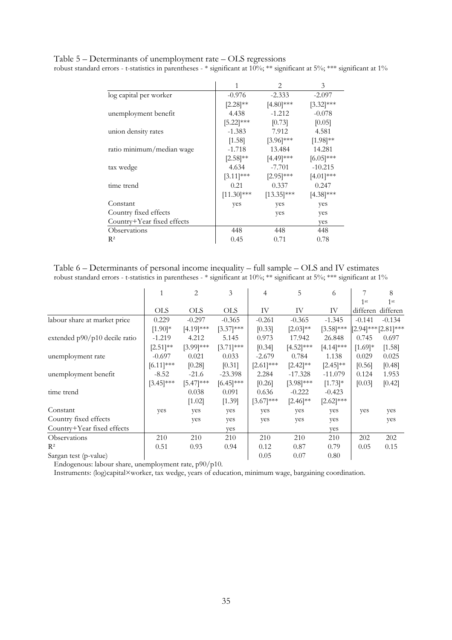Table 5 – Determinants of unemployment rate – OLS regressions

robust standard errors - t-statistics in parentheses - \* significant at 10%; \*\* significant at 5%; \*\*\* significant at 1%

|                            | 1             | $\mathfrak{D}_{\mathfrak{p}}$ | 3             |
|----------------------------|---------------|-------------------------------|---------------|
| log capital per worker     | $-0.976$      | $-2.333$                      | $-2.097$      |
|                            | $[2.28]^{**}$ | $[4.80]$ ***                  | $[3.32]$ ***  |
| unemployment benefit       | 4.438         | $-1.212$                      | $-0.078$      |
|                            | $[5.22]$ ***  | [0.73]                        | [0.05]        |
| union density rates        | $-1.383$      | 7.912                         | 4.581         |
|                            | [1.58]        | $[3.96]$ ***                  | $[1.98]^{**}$ |
| ratio minimum/median wage  | $-1.718$      | 13.484                        | 14.281        |
|                            | $[2.58]^{**}$ | $[4.49]$ ***                  | $[6.05]$ ***  |
| tax wedge                  | 4.634         | $-7.701$                      | $-10.215$     |
|                            | $[3.11]$ ***  | $[2.95]$ ***                  | $[4.01]$ ***  |
| time trend                 | 0.21          | 0.337                         | 0.247         |
|                            | $[11.30]$ *** | $[13.35]$ ***                 | $[4.38]$ ***  |
| Constant                   | yes           | yes                           | yes           |
| Country fixed effects      |               | yes                           | yes           |
| Country+Year fixed effects |               |                               | yes           |
| Observations               | 448           | 448                           | 448           |
| $R^2$                      | 0.45          | 0.71                          | 0.78          |

Table 6 – Determinants of personal income inequality – full sample – OLS and IV estimates robust standard errors - t-statistics in parentheses - \* significant at 10%; \*\* significant at 5%; \*\*\* significant at 1%

|                               |               | 2            | 3            | 4            | 5             | 6             |                 | 8                           |
|-------------------------------|---------------|--------------|--------------|--------------|---------------|---------------|-----------------|-----------------------------|
|                               |               |              |              |              |               |               | 1 <sup>st</sup> | 1 <sup>st</sup>             |
|                               | <b>OLS</b>    | <b>OLS</b>   | <b>OLS</b>   | IV           | IV            | IV            |                 | differen differen           |
| labour share at market price  | 0.229         | $-0.297$     | $-0.365$     | $-0.261$     | $-0.365$      | $-1.345$      | $-0.141$        | $-0.134$                    |
|                               | $[1.90]$ *    | $[4.19]$ *** | $[3.37]$ *** | [0.33]       | $[2.03]^{**}$ | $[3.58]$ ***  |                 | $[2.94]^{***} [2.81]^{***}$ |
| extended p90/p10 decile ratio | $-1.219$      | 4.212        | 5.145        | 0.973        | 17.942        | 26.848        | 0.745           | 0.697                       |
|                               | $[2.51]^{**}$ | $[3.99]$ *** | $[3.71]$ *** | [0.34]       | $[4.52]$ ***  | $[4.14]$ ***  | $[1.69]*$       | [1.58]                      |
| unemployment rate             | $-0.697$      | 0.021        | 0.033        | $-2.679$     | 0.784         | 1.138         | 0.029           | 0.025                       |
|                               | $[6.11]$ ***  | $[0.28]$     | [0.31]       | $[2.61]$ *** | $[2.42]^{**}$ | $[2.45]^{**}$ | [0.56]          | [0.48]                      |
| unemployment benefit          | $-8.52$       | $-21.6$      | $-23.398$    | 2.284        | $-17.328$     | $-11.079$     | 0.124           | 1.953                       |
|                               | $[3.45]$ ***  | $[5.47]$ *** | $[6.45]$ *** | [0.26]       | $[3.98]$ ***  | $[1.73]$ *    | [0.03]          | [0.42]                      |
| time trend                    |               | 0.038        | 0.091        | 0.636        | $-0.222$      | $-0.423$      |                 |                             |
|                               |               | [1.02]       | [1.39]       | $[3.67]$ *** | $[2.46]^{**}$ | $[2.62]$ ***  |                 |                             |
| Constant                      | yes           | yes          | yes          | yes          | yes           | yes           | yes             | yes                         |
| Country fixed effects         |               | yes          | yes          | yes          | yes           | yes           |                 | yes                         |
| Country+Year fixed effects    |               |              | yes          |              |               | yes           |                 |                             |
| Observations                  | 210           | 210          | 210          | 210          | 210           | 210           | 202             | 202                         |
| $R^2$                         | 0.51          | 0.93         | 0.94         | 0.12         | 0.87          | 0.79          | 0.05            | 0.15                        |
| Sargan test (p-value)         |               |              |              | 0.05         | 0.07          | 0.80          |                 |                             |

Endogenous: labour share, unemployment rate, p90/p10.

Instruments: (log)capital×worker, tax wedge, years of education, minimum wage, bargaining coordination.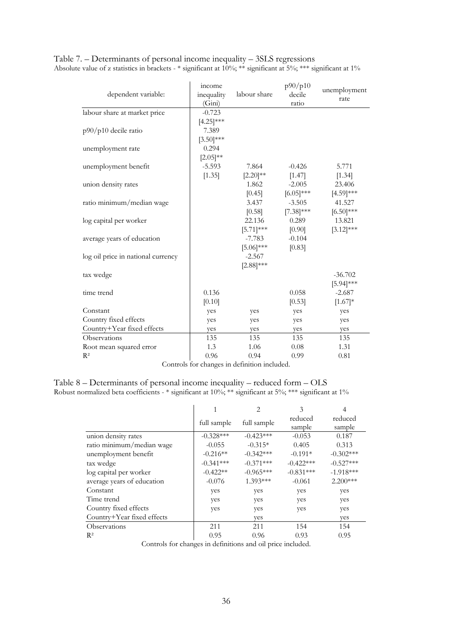| dependent variable:                | income<br>inequality<br>(Gini) | labour share   | p90/p10<br>decile<br>ratio | unemployment<br>rate |
|------------------------------------|--------------------------------|----------------|----------------------------|----------------------|
| labour share at market price       | $-0.723$                       |                |                            |                      |
|                                    | $[4.25]$ ***                   |                |                            |                      |
| p90/p10 decile ratio               | 7.389                          |                |                            |                      |
|                                    | $[3.50]$ ***                   |                |                            |                      |
| unemployment rate                  | 0.294                          |                |                            |                      |
|                                    | $[2.05]^{**}$                  |                |                            |                      |
| unemployment benefit               | $-5.593$                       | 7.864          | $-0.426$                   | 5.771                |
|                                    | [1.35]                         | $[2.20]^{**}$  | [1.47]                     | [1.34]               |
| union density rates                |                                | 1.862          | $-2.005$                   | 23.406               |
|                                    |                                | [0.45]         | $[6.05]$ ***               | $[4.59]$ ***         |
| ratio minimum/median wage          |                                | 3.437          | $-3.505$                   | 41.527               |
|                                    |                                | [0.58]         | $[7.38]$ ***               | $[6.50]$ ***         |
| log capital per worker             |                                | 22.136         | 0.289                      | 13.821               |
|                                    |                                | $[5.71]^{***}$ | [0.90]                     | $[3.12]$ ***         |
| average years of education         |                                | -7.783         | $-0.104$                   |                      |
|                                    |                                | $[5.06]$ ***   | [0.83]                     |                      |
| log oil price in national currency |                                | $-2.567$       |                            |                      |
|                                    |                                | $[2.88]$ ***   |                            |                      |
| tax wedge                          |                                |                |                            | $-36.702$            |
|                                    |                                |                |                            | $[5.94]$ ***         |
| time trend                         | 0.136                          |                | 0.058                      | $-2.687$             |
|                                    | [0.10]                         |                | [0.53]                     | $[1.67]*$            |
| Constant                           | yes                            | yes            | yes                        | yes                  |
| Country fixed effects              | yes                            | yes            | yes                        | yes                  |
| Country+Year fixed effects         | yes                            | yes            | yes                        | yes                  |
| Observations                       | 135                            | 135            | 135                        | 135                  |
| Root mean squared error            | 1.3                            | 1.06           | 0.08                       | 1.31                 |
| $R^2$                              | 0.96                           | 0.94           | 0.99                       | 0.81                 |

Table 7. – Determinants of personal income inequality – 3SLS regressions Absolute value of z statistics in brackets - \* significant at 10%; \*\* significant at 5%; \*\*\* significant at 1%

Controls for changes in definition included.

Table 8 – Determinants of personal income inequality – reduced form – OLS Robust normalized beta coefficients - \* significant at 10%; \*\* significant at 5%; \*\*\* significant at 1%

|                            |             | 2           | 3                 |                   |
|----------------------------|-------------|-------------|-------------------|-------------------|
|                            | full sample | full sample | reduced<br>sample | reduced<br>sample |
| union density rates        | $-0.328***$ | $-0.423***$ | $-0.053$          | 0.187             |
| ratio minimum/median wage  | $-0.055$    | $-0.315*$   | 0.405             | 0.313             |
| unemployment benefit       | $-0.216**$  | $-0.342***$ | $-0.191*$         | $-0.302***$       |
| tax wedge                  | $-0.341***$ | $-0.371***$ | $-0.422***$       | $-0.527***$       |
| log capital per worker     | $-0.422**$  | $-0.965***$ | $-0.831***$       | $-1.918***$       |
| average years of education | $-0.076$    | $1.393***$  | $-0.061$          | $2.200***$        |
| Constant                   | yes         | yes         | yes               | yes               |
| Time trend                 | yes         | yes         | yes               | yes               |
| Country fixed effects      | yes         | yes         | yes               | yes               |
| Country+Year fixed effects |             | yes         |                   | yes               |
| Observations               | 211         | 211         | 154               | 154               |
| $R^2$                      | 0.95        | 0.96        | 0.93              | 0.95              |

Controls for changes in definitions and oil price included.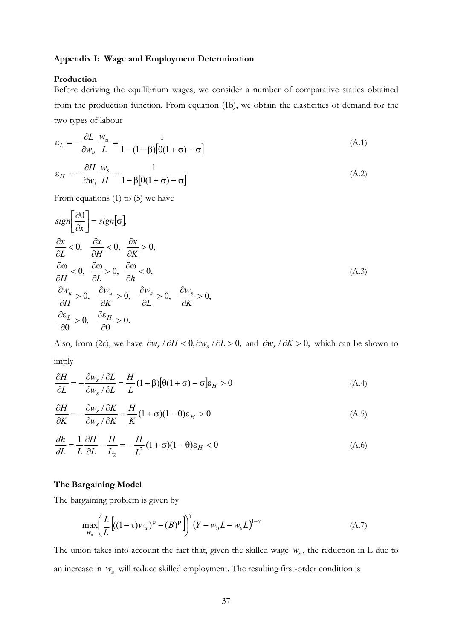#### **Appendix I: Wage and Employment Determination**

#### **Production**

Before deriving the equilibrium wages, we consider a number of comparative statics obtained from the production function. From equation (1b), we obtain the elasticities of demand for the two types of labour

$$
\varepsilon_L = -\frac{\partial L}{\partial w_u} \frac{w_u}{L} = \frac{1}{1 - (1 - \beta) [\theta (1 + \sigma) - \sigma]}
$$
(A.1)

$$
\varepsilon_H = -\frac{\partial H}{\partial w_s} \frac{w_s}{H} = \frac{1}{1 - \beta[\theta(1 + \sigma) - \sigma]}
$$
(A.2)

From equations (1) to (5) we have

$$
sign\left[\frac{\partial \theta}{\partial x}\right] = sign[\sigma],
$$
  
\n
$$
\frac{\partial x}{\partial L} < 0, \quad \frac{\partial x}{\partial H} < 0, \quad \frac{\partial x}{\partial K} > 0,
$$
  
\n
$$
\frac{\partial \omega}{\partial H} < 0, \quad \frac{\partial \omega}{\partial L} > 0, \quad \frac{\partial \omega}{\partial h} < 0,
$$
  
\n
$$
\frac{\partial w_u}{\partial H} > 0, \quad \frac{\partial w_u}{\partial K} > 0, \quad \frac{\partial w_s}{\partial L} > 0, \quad \frac{\partial w_s}{\partial K} > 0,
$$
  
\n
$$
\frac{\partial \varepsilon_L}{\partial \theta} > 0, \quad \frac{\partial \varepsilon_H}{\partial \theta} > 0.
$$
\n(A.3)

Also, from (2c), we have  $\partial w_s / \partial H < 0$ ,  $\partial w_s / \partial L > 0$ , and  $\partial w_s / \partial K > 0$ , which can be shown to imply

$$
\frac{\partial H}{\partial L} = -\frac{\partial w_s}{\partial w_s / \partial L} = \frac{H}{L} (1 - \beta) [\theta (1 + \sigma) - \sigma] \varepsilon_H > 0
$$
\n(A.4)

$$
\frac{\partial H}{\partial K} = -\frac{\partial w_s / \partial K}{\partial w_s / \partial K} = \frac{H}{K} (1 + \sigma)(1 - \theta) \varepsilon_H > 0
$$
\n(A.5)

$$
\frac{dh}{dL} = \frac{1}{L}\frac{\partial H}{\partial L} - \frac{H}{L_2} = -\frac{H}{L^2}(1+\sigma)(1-\theta)\varepsilon_H < 0
$$
\n(A.6)

#### **The Bargaining Model**

The bargaining problem is given by

$$
\max_{w_u} \left( \frac{L}{\overline{L}} \left[ ((1 - \tau) w_u)^{\rho} - (B)^{\rho} \right] \right)^{\gamma} \left( Y - w_u L - w_s L \right)^{1 - \gamma} \tag{A.7}
$$

The union takes into account the fact that, given the skilled wage  $\overline{w}_s$ , the reduction in L due to an increase in  $w_u$  will reduce skilled employment. The resulting first-order condition is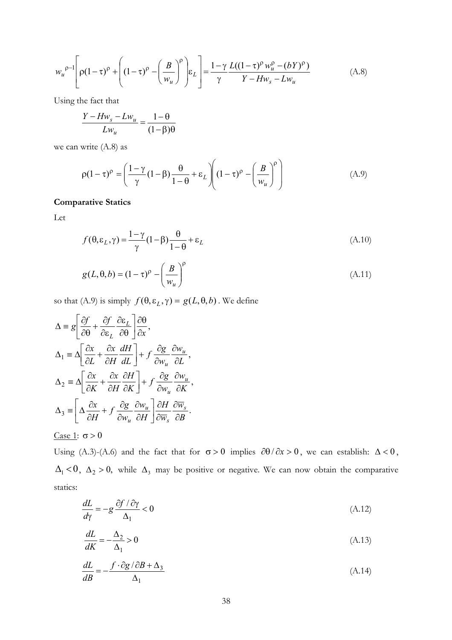$$
w_u^{\rho-1} \left[ \rho (1-\tau)^{\rho} + \left( (1-\tau)^{\rho} - \left( \frac{B}{w_u} \right)^{\rho} \right) \varepsilon_L \right] = \frac{1-\gamma}{\gamma} \frac{L((1-\tau)^{\rho} w_u^{\rho} - (bY)^{\rho})}{Y - H w_s - L w_u}
$$
(A.8)

Using the fact that

$$
\frac{Y - Hw_s - Lw_u}{Lw_u} = \frac{1 - \theta}{(1 - \beta)\theta}
$$

we can write (A.8) as

$$
\rho(1-\tau)^{\rho} = \left(\frac{1-\gamma}{\gamma}(1-\beta)\frac{\theta}{1-\theta} + \varepsilon_L\right)\left((1-\tau)^{\rho} - \left(\frac{B}{w_u}\right)^{\rho}\right) \tag{A.9}
$$

#### **Comparative Statics**

Let

$$
f(\theta, \varepsilon_L, \gamma) = \frac{1 - \gamma}{\gamma} (1 - \beta) \frac{\theta}{1 - \theta} + \varepsilon_L
$$
 (A.10)

$$
g(L, \theta, b) = (1 - \tau)^{\rho} - \left(\frac{B}{w_u}\right)^{\rho}
$$
 (A.11)

so that (A.9) is simply  $f(\theta, \varepsilon_L, \gamma) = g(L, \theta, b)$ . We define

$$
\Delta = g \left[ \frac{\partial f}{\partial \theta} + \frac{\partial f}{\partial \varepsilon_L} \frac{\partial \varepsilon_L}{\partial \theta} \right] \frac{\partial \theta}{\partial x},
$$
  

$$
\Delta_1 = \Delta \left[ \frac{\partial x}{\partial L} + \frac{\partial x}{\partial H} \frac{dH}{dL} \right] + f \frac{\partial g}{\partial w_u} \frac{\partial w_u}{\partial L},
$$
  

$$
\Delta_2 = \Delta \left[ \frac{\partial x}{\partial K} + \frac{\partial x}{\partial H} \frac{\partial H}{\partial K} \right] + f \frac{\partial g}{\partial w_u} \frac{\partial w_u}{\partial K},
$$
  

$$
\Delta_3 = \left[ \Delta \frac{\partial x}{\partial H} + f \frac{\partial g}{\partial w_u} \frac{\partial w_u}{\partial H} \right] \frac{\partial H}{\partial \overline{w}_s} \frac{\partial \overline{w}_s}{\partial B}.
$$

#### Case 1:  $\sigma > 0$

Using (A.3)-(A.6) and the fact that for  $\sigma > 0$  implies  $\partial \theta / \partial x > 0$ , we can establish:  $\Delta < 0$ ,  $\Delta_1$  < 0,  $\Delta_2$  > 0, while  $\Delta_3$  may be positive or negative. We can now obtain the comparative statics:

$$
\frac{dL}{d\gamma} = -g \frac{\partial f / \partial \gamma}{\Delta_1} < 0 \tag{A.12}
$$

$$
\frac{dL}{dK} = -\frac{\Delta_2}{\Delta_1} > 0\tag{A.13}
$$

$$
\frac{dL}{dB} = -\frac{f \cdot \partial g / \partial B + \Delta_3}{\Delta_1} \tag{A.14}
$$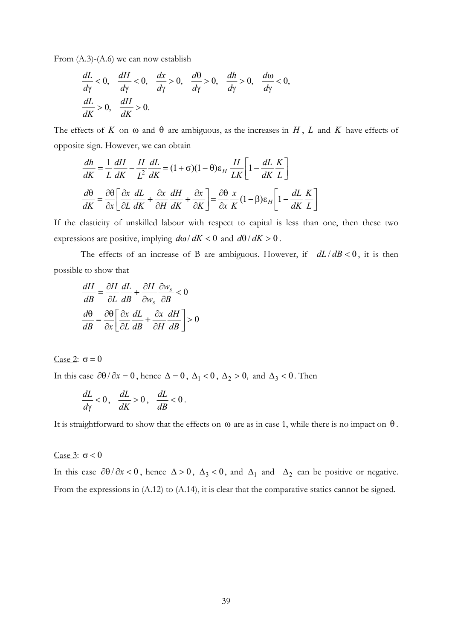From (A.3)-(A.6) we can now establish

$$
\frac{dL}{d\gamma} < 0, \quad \frac{dH}{d\gamma} < 0, \quad \frac{dx}{d\gamma} > 0, \quad \frac{d\theta}{d\gamma} > 0, \quad \frac{dh}{d\gamma} > 0, \quad \frac{d\omega}{d\gamma} < 0, \quad \frac{dL}{dK} > 0, \quad \frac{dH}{dK} > 0.
$$

The effects of  $K$  on  $\omega$  and  $\theta$  are ambiguous, as the increases in  $H$ ,  $L$  and  $K$  have effects of opposite sign. However, we can obtain

$$
\frac{dh}{dK} = \frac{1}{L}\frac{dH}{dK} - \frac{H}{L^2}\frac{dL}{dK} = (1+\sigma)(1-\theta)\varepsilon_H \frac{H}{LK}\left[1 - \frac{dL}{dK}\frac{K}{L}\right]
$$

$$
\frac{d\theta}{dK} = \frac{\partial\theta}{\partial x}\left[\frac{\partial x}{\partial L}\frac{dL}{dK} + \frac{\partial x}{\partial H}\frac{dH}{dK} + \frac{\partial x}{\partial K}\right] = \frac{\partial\theta}{\partial x}\frac{x}{K}(1-\beta)\varepsilon_H\left[1 - \frac{dL}{dK}\frac{K}{L}\right]
$$

If the elasticity of unskilled labour with respect to capital is less than one, then these two expressions are positive, implying  $d\omega/dK < 0$  and  $d\theta/dK > 0$ .

The effects of an increase of B are ambiguous. However, if  $dL/dB < 0$ , it is then possible to show that

$$
\frac{dH}{dB} = \frac{\partial H}{\partial L} \frac{dL}{dB} + \frac{\partial H}{\partial w_s} \frac{\partial \overline{w}_s}{\partial B} < 0
$$

$$
\frac{d\theta}{dB} = \frac{\partial \theta}{\partial x} \left[ \frac{\partial x}{\partial L} \frac{dL}{dB} + \frac{\partial x}{\partial H} \frac{dH}{dB} \right] > 0
$$

Case 2:  $\sigma = 0$ 

In this case  $\partial\theta / \partial x = 0$ , hence  $\Delta = 0$ ,  $\Delta_1 < 0$ ,  $\Delta_2 > 0$ , and  $\Delta_3 < 0$ . Then

$$
\frac{dL}{d\gamma}<0\,,\quad\frac{dL}{dK}>0\,,\quad\frac{dL}{dB}<0\,.
$$

It is straightforward to show that the effects on  $\omega$  are as in case 1, while there is no impact on  $\theta$ .

#### Case 3:  $\sigma$  < 0

In this case  $\partial\theta / \partial x < 0$ , hence  $\Delta > 0$ ,  $\Delta_3 < 0$ , and  $\Delta_1$  and  $\Delta_2$  can be positive or negative. From the expressions in (A.12) to (A.14), it is clear that the comparative statics cannot be signed.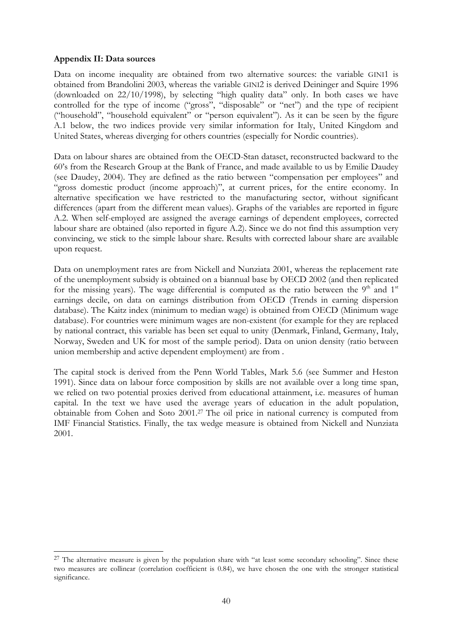#### **Appendix II: Data sources**

 $\overline{\phantom{a}}$ 

Data on income inequality are obtained from two alternative sources: the variable GINI1 is obtained from Brandolini 2003, whereas the variable GINI2 is derived Deininger and Squire 1996 (downloaded on 22/10/1998), by selecting "high quality data" only. In both cases we have controlled for the type of income ("gross", "disposable" or "net") and the type of recipient ("household", "household equivalent" or "person equivalent"). As it can be seen by the figure A.1 below, the two indices provide very similar information for Italy, United Kingdom and United States, whereas diverging for others countries (especially for Nordic countries).

Data on labour shares are obtained from the OECD-Stan dataset, reconstructed backward to the 60's from the Research Group at the Bank of France, and made available to us by Emilie Daudey (see Daudey, 2004). They are defined as the ratio between "compensation per employees" and "gross domestic product (income approach)", at current prices, for the entire economy. In alternative specification we have restricted to the manufacturing sector, without significant differences (apart from the different mean values). Graphs of the variables are reported in figure A.2. When self-employed are assigned the average earnings of dependent employees, corrected labour share are obtained (also reported in figure A.2). Since we do not find this assumption very convincing, we stick to the simple labour share. Results with corrected labour share are available upon request.

Data on unemployment rates are from Nickell and Nunziata 2001, whereas the replacement rate of the unemployment subsidy is obtained on a biannual base by OECD 2002 (and then replicated for the missing years). The wage differential is computed as the ratio between the  $9<sup>th</sup>$  and  $1<sup>st</sup>$ earnings decile, on data on earnings distribution from OECD (Trends in earning dispersion database). The Kaitz index (minimum to median wage) is obtained from OECD (Minimum wage database). For countries were minimum wages are non-existent (for example for they are replaced by national contract, this variable has been set equal to unity (Denmark, Finland, Germany, Italy, Norway, Sweden and UK for most of the sample period). Data on union density (ratio between union membership and active dependent employment) are from .

The capital stock is derived from the Penn World Tables, Mark 5.6 (see Summer and Heston 1991). Since data on labour force composition by skills are not available over a long time span, we relied on two potential proxies derived from educational attainment, i.e. measures of human capital. In the text we have used the average years of education in the adult population, obtainable from Cohen and Soto 2001.27 The oil price in national currency is computed from IMF Financial Statistics. Finally, the tax wedge measure is obtained from Nickell and Nunziata 2001.

<sup>&</sup>lt;sup>27</sup> The alternative measure is given by the population share with "at least some secondary schooling". Since these two measures are collinear (correlation coefficient is 0.84), we have chosen the one with the stronger statistical significance.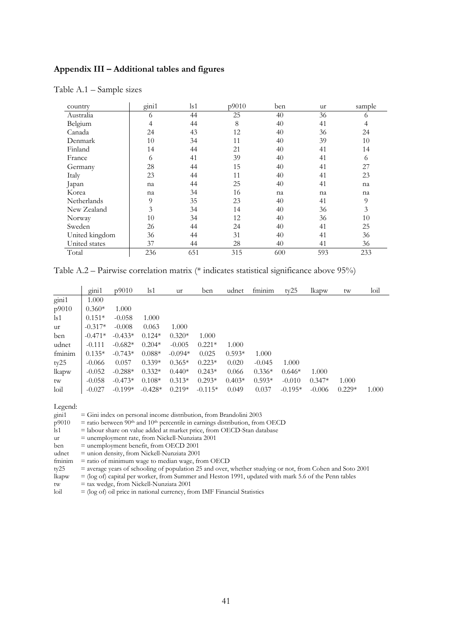#### **Appendix III – Additional tables and figures**

| country        | gini1 | $\lg 1$ | p9010 | ben | ur  | sample |
|----------------|-------|---------|-------|-----|-----|--------|
| Australia      | 6     | 44      | 25    | 40  | 36  | 6      |
| Belgium        | 4     | 44      | 8     | 40  | 41  | 4      |
| Canada         | 24    | 43      | 12    | 40  | 36  | 24     |
| Denmark        | 10    | 34      | 11    | 40  | 39  | 10     |
| Finland        | 14    | 44      | 21    | 40  | 41  | 14     |
| France         | 6     | 41      | 39    | 40  | 41  | 6      |
| Germany        | 28    | 44      | 15    | 40  | 41  | 27     |
| Italy          | 23    | 44      | 11    | 40  | 41  | 23     |
| Japan          | na    | 44      | 25    | 40  | 41  | na     |
| Korea          | na    | 34      | 16    | na  | na  | na     |
| Netherlands    | 9     | 35      | 23    | 40  | 41  | 9      |
| New Zealand    | 3     | 34      | 14    | 40  | 36  | 3      |
| Norway         | 10    | 34      | 12    | 40  | 36  | 10     |
| Sweden         | 26    | 44      | 24    | 40  | 41  | 25     |
| United kingdom | 36    | 44      | 31    | 40  | 41  | 36     |
| United states  | 37    | 44      | 28    | 40  | 41  | 36     |
| Total          | 236   | 651     | 315   | 600 | 593 | 233    |

Table A.1 – Sample sizes

Table A.2 – Pairwise correlation matrix (\* indicates statistical significance above 95%)

|               | $\sin 1$  | p9010     | $\lg 1$   | ur        | ben       | udnet    | fminim   | tv25      | lkapw    | tw       | $\frac{1}{1}$ |
|---------------|-----------|-----------|-----------|-----------|-----------|----------|----------|-----------|----------|----------|---------------|
| gini1         | 1.000     |           |           |           |           |          |          |           |          |          |               |
| p9010         | $0.360*$  | 1.000     |           |           |           |          |          |           |          |          |               |
| $\lg 1$       | $0.151*$  | $-0.058$  | 1.000     |           |           |          |          |           |          |          |               |
| ur            | $-0.317*$ | $-0.008$  | 0.063     | 1.000     |           |          |          |           |          |          |               |
| ben           | $-0.471*$ | $-0.433*$ | $0.124*$  | $0.320*$  | 1.000     |          |          |           |          |          |               |
| udnet         | $-0.111$  | $-0.682*$ | $0.204*$  | $-0.005$  | $0.221*$  | 1.000    |          |           |          |          |               |
| fminim        | $0.135*$  | $-0.743*$ | $0.088*$  | $-0.094*$ | 0.025     | $0.593*$ | 1.000    |           |          |          |               |
| ty25          | $-0.066$  | 0.057     | $0.339*$  | $0.365*$  | $0.223*$  | 0.020    | $-0.045$ | 1.000     |          |          |               |
| lkapw         | $-0.052$  | $-0.288*$ | $0.332*$  | $0.440*$  | $0.243*$  | 0.066    | $0.336*$ | $0.646*$  | 1.000    |          |               |
| tw            | $-0.058$  | $-0.473*$ | $0.108*$  | $0.313*$  | $0.293*$  | $0.403*$ | $0.593*$ | $-0.010$  | $0.347*$ | 1.000    |               |
| $\text{loil}$ | $-0.027$  | $-0.199*$ | $-0.428*$ | $0.219*$  | $-0.115*$ | 0.049    | 0.037    | $-0.195*$ | $-0.006$ | $0.229*$ | 1.000         |

Legend:

| gini1 |  |  | $=$ Gini index on personal income distribution, from Brandolini 2003 |
|-------|--|--|----------------------------------------------------------------------|
|       |  |  |                                                                      |

 $p9010 =$  ratio between 90<sup>th</sup> and 10<sup>th</sup> percentile in earnings distribution, from OECD

 $\overrightarrow{ls1}$  = labour share on value added at market price, from OECD-Stan database

ur = unemployment rate, from Nickell-Nunziata 2001

ben = unemployment benefit, from OECD 2001

udnet = union density, from Nickell-Nunziata 2001

fminim = ratio of minimum wage to median wage, from OECD

ty25 = average years of schooling of population 25 and over, whether studying or not, from Cohen and Soto 2001

lkapw = (log of) capital per worker, from Summer and Heston 1991, updated with mark 5.6 of the Penn tables

- tw = tax wedge, from Nickell-Nunziata 2001
- $\left| \text{I}\right|$  = (log of) oil price in national currency, from IMF Financial Statistics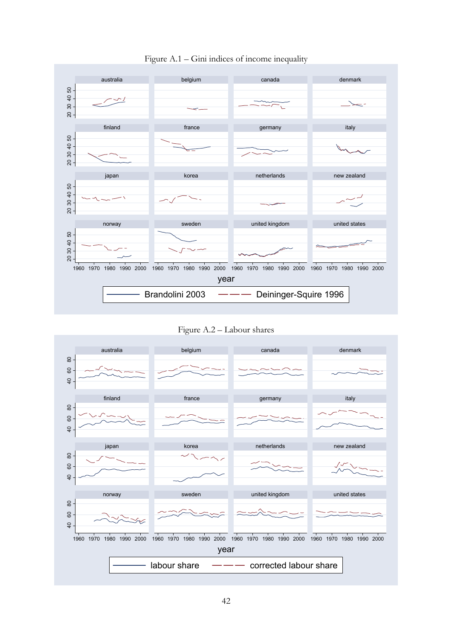

Figure A.1 – Gini indices of income inequality

Figure A.2 – Labour shares

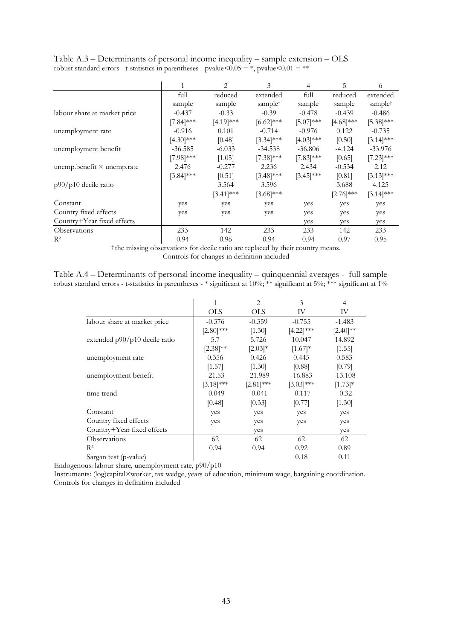|                                   |              | 2            | 3                   | 4            | 5            | 6            |
|-----------------------------------|--------------|--------------|---------------------|--------------|--------------|--------------|
|                                   | full         | reduced      | extended            | full         | reduced      | extended     |
|                                   | sample       | sample       | sample <sup>†</sup> | sample       | sample       | samplet      |
| labour share at market price      | $-0.437$     | $-0.33$      | $-0.39$             | $-0.478$     | $-0.439$     | $-0.486$     |
|                                   | $[7.84]***$  | $[4.19]$ *** | $[6.62]$ ***        | $[5.07]$ *** | $[4.68]$ *** | $[5.38]$ *** |
| unemployment rate                 | $-0.916$     | 0.101        | $-0.714$            | $-0.976$     | 0.122        | $-0.735$     |
|                                   | $[4.30]$ *** | [0.48]       | $[3.34]$ ***        | $[4.03]$ *** | [0.50]       | $[3.14]$ *** |
| unemployment benefit              | $-36.585$    | $-6.033$     | $-34.538$           | $-36.806$    | $-4.124$     | $-33.976$    |
|                                   | $[7.98]$ *** | [1.05]       | $[7.38]$ ***        | $[7.83]$ *** | [0.65]       | $[7.23]$ *** |
| unemp.benefit $\times$ unemp.rate | 2.476        | $-0.277$     | 2.236               | 2.434        | $-0.534$     | 2.12         |
|                                   | $[3.84]$ *** | [0.51]       | $[3.48]$ ***        | $[3.45]$ *** | [0.81]       | $[3.13]$ *** |
| $p90/p10$ decile ratio            |              | 3.564        | 3.596               |              | 3.688        | 4.125        |
|                                   |              | $[3.41]$ *** | $[3.68]$ ***        |              | $[2.76]$ *** | $[3.14]$ *** |
| Constant                          | yes          | yes          | yes                 | yes          | yes          | yes          |
| Country fixed effects             | yes          | yes          | yes                 | yes          | yes          | yes          |
| Country+Year fixed effects        |              |              |                     | ves          | ves          | ves          |
| Observations                      | 233          | 142          | 233                 | 233          | 142          | 233          |
| $R^2$                             | 0.94         | 0.96         | 0.94                | 0.94         | 0.97         | 0.95         |

Table A.3 – Determinants of personal income inequality – sample extension – OLS robust standard errors - t-statistics in parentheses - pvalue  $< 0.05 = *,$  pvalue  $< 0.01 = **$ 

† the missing observations for decile ratio are replaced by their country means. Controls for changes in definition included

Table A.4 – Determinants of personal income inequality – quinquennial averages - full sample robust standard errors - t-statistics in parentheses - \* significant at 10%; \*\* significant at 5%; \*\*\* significant at 1%

|                               | 1             | 2            | 3              | 4             |
|-------------------------------|---------------|--------------|----------------|---------------|
|                               | <b>OLS</b>    | <b>OLS</b>   | IV             | IV            |
| labour share at market price  | $-0.376$      | $-0.359$     | $-0.755$       | $-1.483$      |
|                               | $[2.80]$ ***  | [1.30]       | $[4.22]$ ***   | $[2.40]^{**}$ |
| extended p90/p10 decile ratio | 5.7           | 5.726        | 10.047         | 14.892        |
|                               | $[2.38]^{**}$ | $[2.03]*$    | $[1.67]$ *     | [1.55]        |
| unemployment rate             | 0.356         | 0.426        | 0.445          | 0.583         |
|                               | [1.57]        | [1.30]       | [0.88]         | [0.79]        |
| unemployment benefit          | $-21.53$      | $-21.989$    | $-16.883$      | $-13.108$     |
|                               | $[3.18]$ ***  | $[2.81]$ *** | $[3.03]^{***}$ | $[1.73]$ *    |
| time trend                    | $-0.049$      | $-0.041$     | $-0.117$       | $-0.32$       |
|                               | [0.48]        | [0.33]       | [0.77]         | [1.30]        |
| Constant                      | yes           | yes          | yes            | yes           |
| Country fixed effects         | yes           | yes          | yes            | yes           |
| Country+Year fixed effects    |               | yes          |                | yes           |
| Observations                  | 62            | 62           | 62             | 62            |
| $R^2$                         | 0.94          | 0.94         | 0.92           | 0.89          |
| Sargan test (p-value)         |               |              | 0.18           | 0.11          |

Endogenous: labour share, unemployment rate, p90/p10

Instruments: (log)capital×worker, tax wedge, years of education, minimum wage, bargaining coordination. Controls for changes in definition included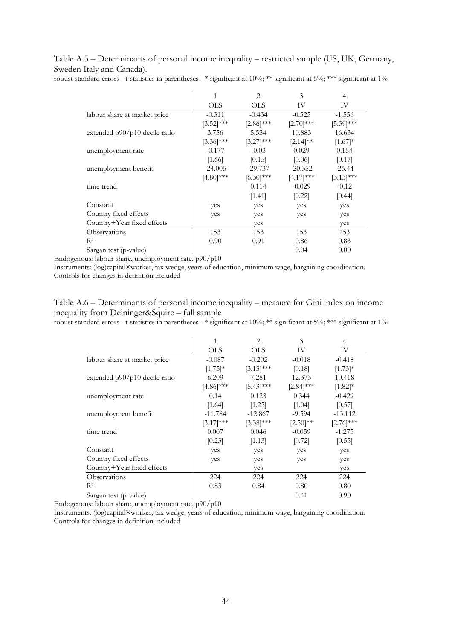Table A.5 – Determinants of personal income inequality – restricted sample (US, UK, Germany, Sweden Italy and Canada).

robust standard errors - t-statistics in parentheses - \* significant at 10%; \*\* significant at 5%; \*\*\* significant at 1%

|                                 | 1            | 2            | 3              | $\overline{4}$ |
|---------------------------------|--------------|--------------|----------------|----------------|
|                                 | <b>OLS</b>   | <b>OLS</b>   | IV             | IV             |
| labour share at market price    | $-0.311$     | $-0.434$     | $-0.525$       | $-1.556$       |
|                                 | $[3.52]$ *** | $[2.86]$ *** | $[2.70]$ ***   | $[5.39]$ ***   |
| extended $p90/p10$ decile ratio | 3.756        | 5.534        | 10.883         | 16.634         |
|                                 | $[3.36]$ *** | $[3.27]$ *** | $[2.14]^{**}$  | $[1.67]$ *     |
| unemployment rate               | $-0.177$     | $-0.03$      | 0.029          | 0.154          |
|                                 | [1.66]       | [0.15]       | [0.06]         | [0.17]         |
| unemployment benefit            | $-24.005$    | $-29.737$    | $-20.352$      | $-26.44$       |
|                                 | $[4.80]$ *** | $[6.30]$ *** | $[4.17]^{***}$ | $[3.13]$ ***   |
| time trend                      |              | 0.114        | $-0.029$       | $-0.12$        |
|                                 |              | [1.41]       | [0.22]         | [0.44]         |
| Constant                        | yes          | yes          | yes            | yes            |
| Country fixed effects           | yes          | yes          | yes            | yes            |
| Country+Year fixed effects      |              | yes          |                | yes            |
| Observations                    | 153          | 153          | 153            | 153            |
| $R^2$                           | 0.90         | 0.91         | 0.86           | 0.83           |
| Sargan test (p-value)           |              |              | 0.04           | 0.00           |

Endogenous: labour share, unemployment rate, p90/p10

Instruments: (log)capital×worker, tax wedge, years of education, minimum wage, bargaining coordination. Controls for changes in definition included

Table A.6 – Determinants of personal income inequality – measure for Gini index on income inequality from Deininger&Squire – full sample

robust standard errors - t-statistics in parentheses - \* significant at 10%; \*\* significant at 5%; \*\*\* significant at 1%

|                               | 1            | 2            | 3             | 4            |
|-------------------------------|--------------|--------------|---------------|--------------|
|                               | <b>OLS</b>   | <b>OLS</b>   | IV            | IV           |
| labour share at market price  | $-0.087$     | $-0.202$     | $-0.018$      | $-0.418$     |
|                               | $[1.75]$ *   | $[3.13]***$  | [0.18]        | $[1.73]$ *   |
| extended p90/p10 decile ratio | 6.209        | 7.281        | 12.373        | 10.418       |
|                               | $[4.86]$ *** | $[5.43]$ *** | $[2.84]$ ***  | $[1.82]$ *   |
| unemployment rate             | 0.14         | 0.123        | 0.344         | $-0.429$     |
|                               | [1.64]       | [1.25]       | [1.04]        | [0.57]       |
| unemployment benefit          | $-11.784$    | $-12.867$    | $-9.594$      | $-13.112$    |
|                               | $[3.17]$ *** | $[3.38]$ *** | $[2.50]^{**}$ | $[2.76]$ *** |
| time trend                    | 0.007        | 0.046        | $-0.059$      | $-1.275$     |
|                               | [0.23]       | [1.13]       | [0.72]        | [0.55]       |
| Constant                      | yes          | yes          | yes           | yes          |
| Country fixed effects         | yes          | yes          | yes           | yes          |
| Country+Year fixed effects    |              | yes          |               | yes          |
| Observations                  | 224          | 224          | 224           | 224          |
| $\mathbb{R}^2$                | 0.83         | 0.84         | 0.80          | 0.80         |
| Sargan test (p-value)         |              |              | 0.41          | 0.90         |

Endogenous: labour share, unemployment rate, p90/p10

Instruments: (log)capital×worker, tax wedge, years of education, minimum wage, bargaining coordination. Controls for changes in definition included